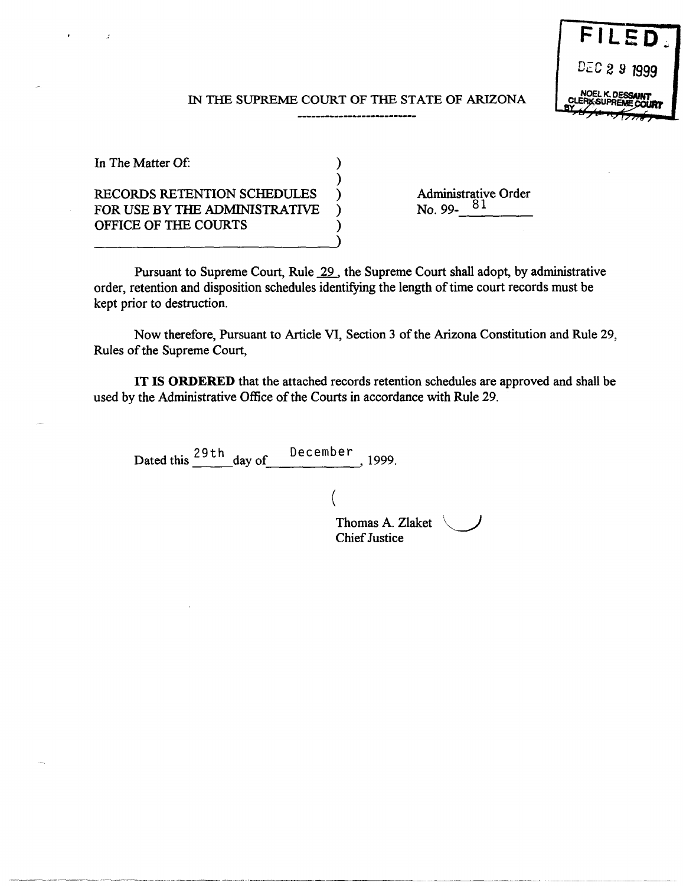

#### IN THE SUPREME COURT OF THE STATE OF ARIZONA

| In The Matter Of:                  |  |
|------------------------------------|--|
|                                    |  |
| <b>RECORDS RETENTION SCHEDULES</b> |  |
| FOR USE BY THE ADMINISTRATIVE      |  |
| OFFICE OF THE COURTS               |  |
|                                    |  |

 $\overline{z}$ 

Administrative Order  $N_0.99 - 81$ 

Pursuant to Supreme Court, Rule 29 , the Supreme Court shall adopt, by administrative order, retention and disposition schedules identifying the length of time court records must be kept prior to destruction.

Now therefore, Pursuant to Article VI, Section 3 of the Arizona Constitution and Rule 29, Rules of the Supreme Court,

**IT IS ORDERED** that the attached records retention schedules are approved and shall be used by the Administrative Office of the Courts in accordance with Rule 29.

(

Dated this  $\frac{29th}{ }$  day of December, 1999.

------------------------------- ------ ---------------- --------- -----------------

Thomas A. Zlaket  $\sqrt{ }$ Chief Justice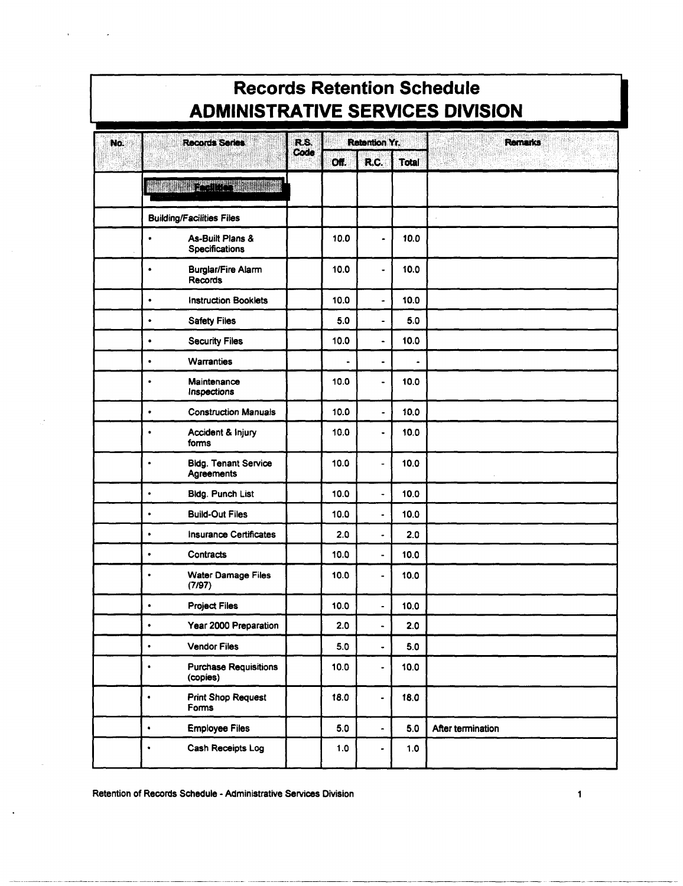|     | <b>Records Retention Schedule</b><br><b>ADMINISTRATIVE SERVICES DIVISION</b> |      |                |                              |                          |                   |  |  |  |
|-----|------------------------------------------------------------------------------|------|----------------|------------------------------|--------------------------|-------------------|--|--|--|
| No. | Records Series                                                               | R.S. |                | <b>Retention Yr.</b>         |                          | <b>Remarks</b>    |  |  |  |
|     |                                                                              | Code | Off.           | R.C.                         | <b>Total</b>             |                   |  |  |  |
|     | <b>REGIONAL SERVICE</b>                                                      |      |                |                              |                          |                   |  |  |  |
|     | <b>Building/Facilities Files</b>                                             |      |                |                              |                          |                   |  |  |  |
|     | As-Built Plans &<br>$\bullet$<br>Specifications                              |      | 10.0           |                              | 10.0                     |                   |  |  |  |
|     | <b>Burglar/Fire Alarm</b><br>٠<br><b>Records</b>                             |      | 10.0           |                              | 10.0                     |                   |  |  |  |
|     | <b>Instruction Booklets</b><br>$\bullet$                                     |      | 10.0           |                              | 10.0                     |                   |  |  |  |
|     | <b>Safety Files</b><br>$\bullet$                                             |      | 5.0            | $\blacksquare$               | 5.0                      |                   |  |  |  |
|     | <b>Security Files</b><br>$\bullet$                                           |      | 10.0           | $\blacksquare$               | 10.0                     |                   |  |  |  |
|     | <b>Warranties</b><br>$\bullet$                                               |      | $\blacksquare$ | $\overline{\phantom{0}}$     | $\overline{\phantom{a}}$ |                   |  |  |  |
|     | Maintenance<br>$\bullet$<br>Inspections                                      |      | 10.0           | $\blacksquare$               | 10.0                     |                   |  |  |  |
|     | <b>Construction Manuals</b><br>$\bullet$                                     |      | 10.0           | -                            | 10.0                     |                   |  |  |  |
|     | Accident & Injury<br>٠<br>forms                                              |      | 10.0           | $\blacksquare$               | 10.0                     |                   |  |  |  |
|     | <b>Bldg. Tenant Service</b><br>$\bullet$<br>Agreements                       |      | 10.0           |                              | 10.0                     |                   |  |  |  |
|     | <b>Bldg. Punch List</b><br>$\bullet$                                         |      | 10.0           | ٠                            | 10.0                     |                   |  |  |  |
|     | <b>Build-Out Files</b><br>$\bullet$                                          |      | 10.0           |                              | 10.0                     |                   |  |  |  |
|     | <b>Insurance Certificates</b><br>$\bullet$                                   |      | 2.0            | $\overline{a}$               | 2.0                      |                   |  |  |  |
|     | Contracts<br>$\bullet$                                                       |      | 10.0           |                              | 10.0                     |                   |  |  |  |
|     | Water Damage Files<br>٠<br>(7/97)                                            |      | 10.0           | -                            | 10.0                     |                   |  |  |  |
|     | <b>Project Files</b><br>$\bullet$                                            |      | 10.0           |                              | 10.0                     |                   |  |  |  |
|     | Year 2000 Preparation<br>٠                                                   |      | 2.0            | -                            | 2.0                      |                   |  |  |  |
|     | <b>Vendor Files</b><br>$\bullet$                                             |      | 5.0            | ٠                            | 5.0                      |                   |  |  |  |
|     | <b>Purchase Requisitions</b><br>$\bullet$<br>(copies)                        |      | 10.0           | ÷,                           | 10.0                     |                   |  |  |  |
|     | <b>Print Shop Request</b><br>$\bullet$<br>Forms                              |      | 18.0           | $\qquad \qquad \blacksquare$ | 18.0                     |                   |  |  |  |
|     | <b>Employee Files</b><br>$\bullet$                                           |      | 5.0            | $\blacksquare$               | 5.0                      | After termination |  |  |  |
|     | Cash Receipts Log<br>$\bullet$                                               |      | 1.0            |                              | 1.0                      |                   |  |  |  |

## **Records Retention Schedule**

Retention of Records Schedule - Administrative Services Division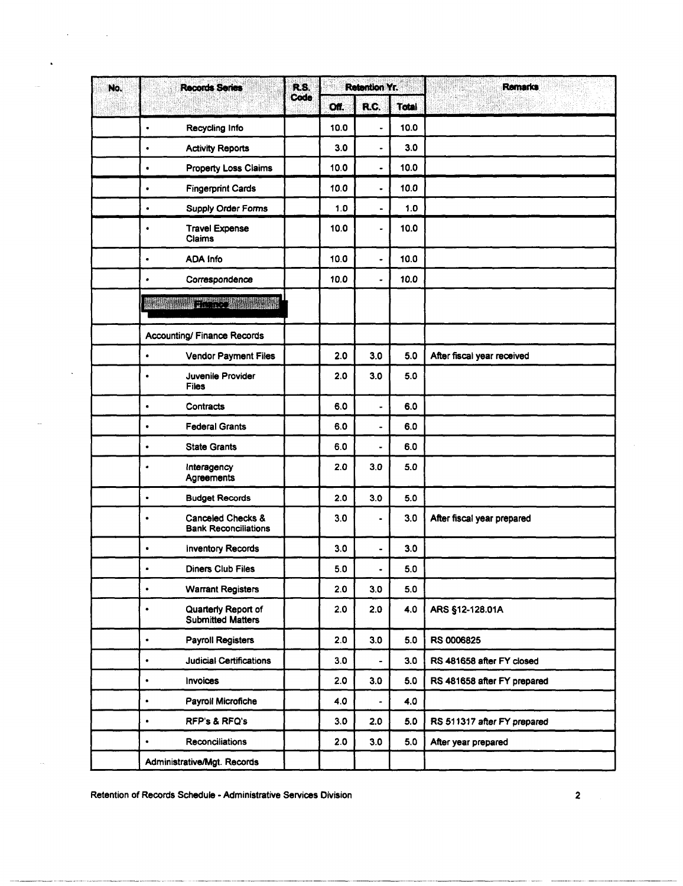| No. |             | <b>Records Series</b>                            | R.S.<br>Code | Retention Yr. |                              |       | <b>Remarks</b>              |
|-----|-------------|--------------------------------------------------|--------------|---------------|------------------------------|-------|-----------------------------|
|     |             |                                                  |              | Off.          | R.C.                         | Total |                             |
|     | $\bullet$   | Recycling Info                                   |              | 10.0          | $\ddot{\phantom{0}}$         | 10.0  |                             |
|     | ٠           | <b>Activity Reports</b>                          |              | 3.0           | $\qquad \qquad \blacksquare$ | 3.0   |                             |
|     | $\bullet$   | <b>Property Loss Claims</b>                      |              | 10.0          | $\frac{1}{2}$                | 10.0  |                             |
|     | ٠           | <b>Fingerprint Cards</b>                         |              | 10.0          | $\overline{\phantom{a}}$     | 10.0  |                             |
|     | $\bullet$   | Supply Order Forms                               |              | 1.0           | $\overline{\phantom{0}}$     | 1.0   |                             |
|     | ۰           | <b>Travel Expense</b><br>Claims                  |              | 10.0          | $\blacksquare$               | 10.0  |                             |
|     | ٠           | <b>ADA Info</b>                                  |              | 10.0          | $\blacksquare$               | 10.0  |                             |
|     | ٠           | Correspondence                                   |              | 10.0          | $\overline{\phantom{0}}$     | 10.0  |                             |
|     | an an Dùbhl | <b>TERMINIST AND STATE</b>                       |              |               |                              |       |                             |
|     |             | <b>Accounting/ Finance Records</b>               |              |               |                              |       |                             |
|     | $\bullet$   | Vendor Payment Files                             |              | 2.0           | 3.0                          | 5.0   | After fiscal year received  |
|     | ۰           | Juvenile Provider<br><b>Files</b>                |              | 2.0           | 3.0                          | 5.0   |                             |
|     | $\bullet$   | Contracts                                        |              | 6.0           | ٠                            | 6.0   |                             |
|     | $\bullet$   | <b>Federal Grants</b>                            |              | 6.0           | $\blacksquare$               | 6.0   |                             |
|     | $\bullet$   | <b>State Grants</b>                              |              | 6.0           | ä,                           | 6.0   |                             |
|     | $\bullet$   | Interagency<br>Agreements                        |              | 2.0           | 3.0                          | 5.0   |                             |
|     | $\bullet$   | <b>Budget Records</b>                            |              | 2.0           | 3.0                          | 5.0   |                             |
|     | $\bullet$   | Canceled Checks &<br><b>Bank Reconciliations</b> |              | 3.0           | $\frac{1}{2}$                | 3.0   | After fiscal year prepared  |
|     | $\bullet$   | <b>Inventory Records</b>                         |              | 3.0           | $\blacksquare$               | 3.0   |                             |
|     | $\bullet$   | <b>Diners Club Files</b>                         |              | 5.0           |                              | 5.0   |                             |
|     | $\bullet$   | <b>Warrant Registers</b>                         |              | 2.0           | 3.0                          | 5.0   |                             |
|     | $\bullet$   | Quarterly Report of<br><b>Submitted Matters</b>  |              | 2.0           | 2.0                          | 4.0   | ARS §12-128.01A             |
|     | $\bullet$   | <b>Payroll Registers</b>                         |              | 2.0           | 3.0                          | 5.0   | RS 0006825                  |
|     | $\bullet$   | <b>Judicial Certifications</b>                   |              | 3.0           | ۰                            | 3.0   | RS 481658 after FY closed   |
|     | $\bullet$   | <b>Invoices</b>                                  |              | 2.0           | 3.0                          | 5.0   | RS 481658 after FY prepared |
|     | $\bullet$   | Payroll Microfiche                               |              | 4.0           | $\qquad \qquad \blacksquare$ | 4.0   |                             |
|     | ٠           | <b>RFP's &amp; RFQ's</b>                         |              | 3.0           | 2.0                          | 5.0   | RS 511317 after FY prepared |
|     | ٠           | <b>Reconciliations</b>                           |              | 2.0           | 3.0                          | 5.0   | After year prepared         |
|     |             | Administrative/Mgt. Records                      |              |               |                              |       |                             |

Retention of Records Schedule - Administrative Services Division

 $\mathcal{A}^{\text{max}}_{\text{max}}$  and  $\mathcal{A}^{\text{max}}_{\text{max}}$ 

 $\ddot{\phantom{1}}$ 

 $\ddot{\phantom{1}}$ 

 $\overline{\mathbf{c}}$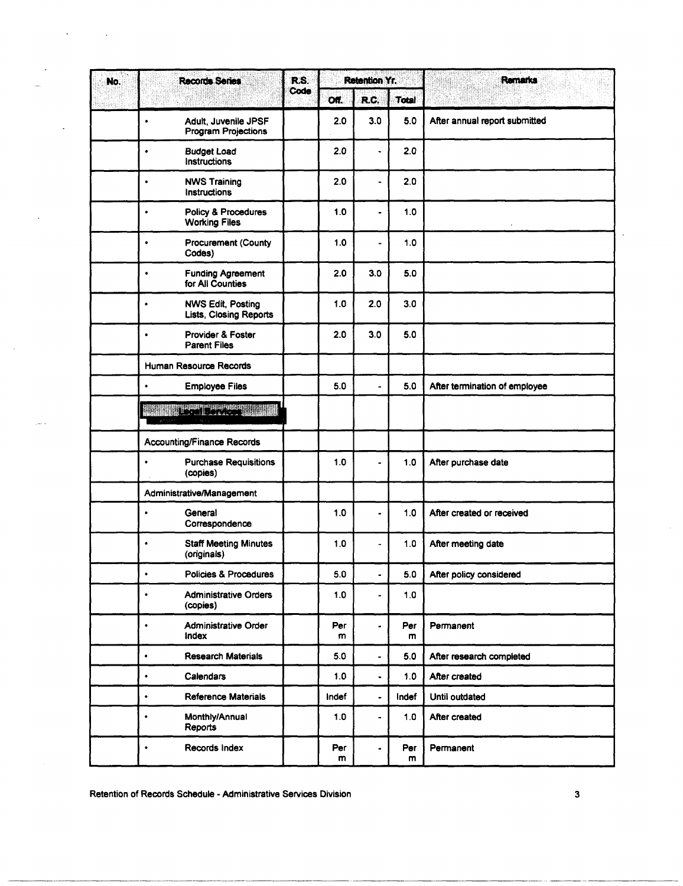| No. | <b>Records Series</b>                                           | R.S. |          | <b>Retention Yr.</b>     |              | <b>Remarks</b>                |
|-----|-----------------------------------------------------------------|------|----------|--------------------------|--------------|-------------------------------|
|     |                                                                 | Code | Off.     | R.C.                     | <b>Total</b> |                               |
|     | Adult, Juvenile JPSF<br>$\bullet$<br><b>Program Projections</b> |      | 2.0      | 3.0                      | 5.0          | After annual report submitted |
|     | <b>Budget Load</b><br>$\bullet$<br>Instructions                 |      | 2.0      | ٠                        | 2.0          |                               |
|     | <b>NWS Training</b><br>$\bullet$<br>Instructions                |      | 2.0      | $\blacksquare$           | 20           |                               |
|     | Policy & Procedures<br>$\bullet$<br><b>Working Files</b>        |      | 1.0      | $\overline{\phantom{0}}$ | 1.0          |                               |
|     | <b>Procurement (County</b><br>$\bullet$<br>Codes)               |      | 1.0      | ÷,                       | 1.0          |                               |
|     | <b>Funding Agreement</b><br>$\bullet$<br>for All Counties       |      | 2.0      | 3.0                      | 5.0          |                               |
|     | <b>NWS Edit. Posting</b><br>$\bullet$<br>Lists, Closing Reports |      | 1.0      | 2.0                      | 3.0          |                               |
|     | Provider & Foster<br>$\bullet$<br><b>Parent Files</b>           |      | 2.0      | 3.0                      | 5.0          |                               |
|     | Human Resource Records                                          |      |          |                          |              |                               |
|     | <b>Employee Files</b><br>$\bullet$                              |      | 5.0      | $\blacksquare$           | 5.0          | After termination of employee |
|     | <b>BACK</b>                                                     |      |          |                          |              |                               |
|     | <b>Accounting/Finance Records</b>                               |      |          |                          |              |                               |
|     | <b>Purchase Requisitions</b><br>$\bullet$<br>(copies)           |      | 1.0      |                          | 1.0          | After purchase date           |
|     | Administrative/Management                                       |      |          |                          |              |                               |
|     | General<br>$\bullet$<br>Correspondence                          |      | 1.0      | $\blacksquare$           | 1.0          | After created or received     |
|     | <b>Staff Meeting Minutes</b><br>$\bullet$<br>(originals)        |      | 1.0      |                          | 1.0          | After meeting date            |
|     | Policies & Procedures<br>$\bullet$                              |      | 5.0      | ٠                        | 5.0          | After policy considered       |
|     | $\bullet$<br><b>Administrative Orders</b><br>(copies)           |      | 1.0      | ۰                        | 1.0          |                               |
|     | Administrative Order<br>۰<br>Index                              |      | Per<br>m | ٠                        | Per<br>m     | Permanent                     |
|     | <b>Research Materials</b><br>$\bullet$                          |      | 5.0      | $\bullet$                | 5.0          | After research completed      |
|     | $\bullet$<br>Calendars                                          |      | 1.0      | $\ddot{\phantom{0}}$     | 1.0          | After created                 |
|     | <b>Reference Materials</b><br>$\bullet$                         |      | Indef    | $\blacksquare$           | Indef        | Until outdated                |
|     | Monthly/Annual<br>$\bullet$<br>Reports                          |      | 1.0      | $\frac{1}{2}$            | 1.0          | After created                 |
|     | Records Index<br>٠                                              |      | Per<br>m |                          | Per<br>m     | Permanent                     |

Retention of Records Schedule - Administrative Services Division 33

----.-------.---~.~~-.----------.----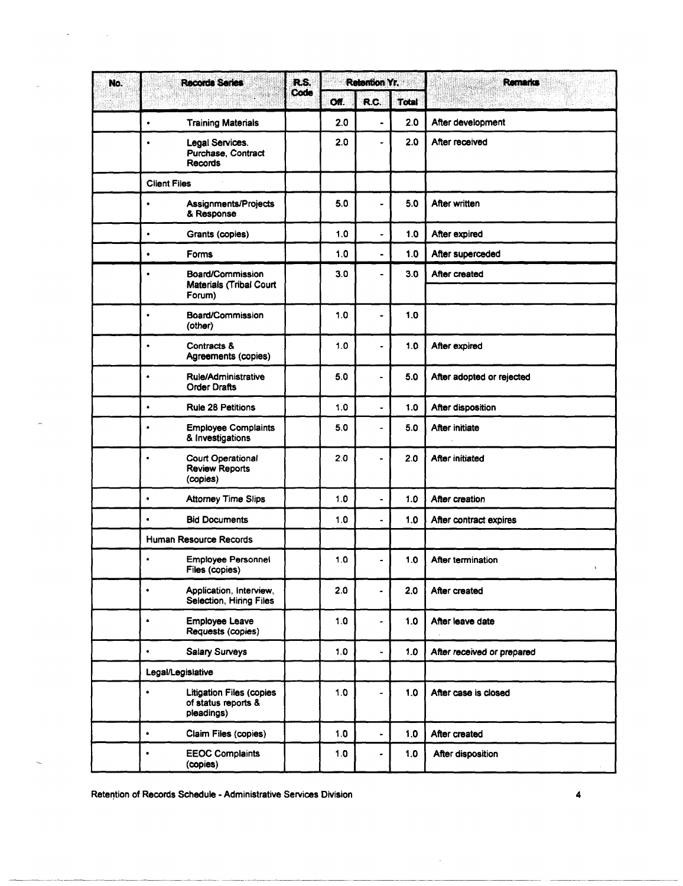| No. | <b>Records Series</b> | R.S.                                                                 |      | <b>Retention Yr.</b> |                              | Remarks      |                                |
|-----|-----------------------|----------------------------------------------------------------------|------|----------------------|------------------------------|--------------|--------------------------------|
|     |                       |                                                                      | Code | Off.                 | R.C.                         | <b>Total</b> |                                |
|     | $\bullet$             | <b>Training Materials</b>                                            |      | 2.0                  | $\overline{\phantom{a}}$     | 2.0          | After development              |
|     | $\bullet$             | Legal Services.<br>Purchase, Contract<br><b>Records</b>              |      | 2.0                  |                              | 2.0          | After received                 |
|     | <b>Client Files</b>   |                                                                      |      |                      |                              |              |                                |
|     | $\bullet$             | Assignments/Projects<br>& Response                                   |      | 5.0                  |                              | 5.0          | After written                  |
|     | $\bullet$             | Grants (copies)                                                      |      | 1.0                  |                              | 1.0          | After expired                  |
|     | $\bullet$             | Forms                                                                |      | 1.0                  | $\blacksquare$               | 1.0          | After superceded               |
|     | ٠                     | Board/Commission<br>Materials (Tribal Court<br>Forum)                |      | 3.0                  | -                            | 3.0          | After created                  |
|     | ٠                     | Board/Commission<br>(other)                                          |      | 1.0                  |                              | 1.0          |                                |
|     | $\bullet$             | Contracts &<br>Agreements (copies)                                   |      | 1.0                  | $\overline{\phantom{a}}$     | 1.0          | After expired                  |
|     | $\bullet$             | Rule/Administrative<br><b>Order Drafts</b>                           |      | 5.0                  | ٠                            | 5.0          | After adopted or rejected      |
|     | $\bullet$             | <b>Rule 28 Petitions</b>                                             |      | 1.0                  | $\overline{\phantom{0}}$     | 1.0          | After disposition              |
|     | ٠                     | <b>Employee Complaints</b><br>& Investigations                       |      | 5.0                  |                              | 5.0          | After initiate                 |
|     | $\bullet$             | <b>Court Operational</b><br><b>Review Reports</b><br>(copies)        |      | 2.0                  | $\blacksquare$               | 2.0          | After initiated                |
|     | $\bullet$             | <b>Attorney Time Slips</b>                                           |      | 1.0                  | $\qquad \qquad \blacksquare$ | 1.0          | After creation                 |
|     | $\bullet$             | <b>Bid Documents</b>                                                 |      | 1.0                  |                              | 1.0          | After contract expires         |
|     |                       | Human Resource Records                                               |      |                      |                              |              |                                |
|     | $\bullet$             | <b>Employee Personnel</b><br>Files (copies)                          |      | 1.0                  |                              | 1.0          | After termination<br>$\lambda$ |
|     | $\bullet$             | Application, Interview,<br>Selection, Hiring Files                   |      | 2.0                  |                              | 2.0          | After created                  |
|     | ٠                     | Employee Leave<br>Requests (copies)                                  |      | 1.0                  | $\blacksquare$               | 1.0          | After leave date               |
|     | $\bullet$             | <b>Salary Surveys</b>                                                |      | 1.0                  | $\overline{\phantom{0}}$     | 1.0          | After received or prepared     |
|     | Legal/Legislative     |                                                                      |      |                      |                              |              |                                |
|     | $\bullet$             | <b>Litigation Files (copies</b><br>of status reports &<br>pleadings) |      | 1.0                  |                              | 1.0          | After case is closed           |
|     | $\bullet$             | Claim Files (copies)                                                 |      | 1.0                  | $\overline{\phantom{0}}$     | 1.0          | After created                  |
|     | $\bullet$             | <b>EEOC Complaints</b><br>(copies)                                   |      | 1.0                  |                              | 1.0          | After disposition              |

Retention of Records Schedule - Administrative Services Division 4 4

---'~-'-----~-----~-'-'--"--.. ~-,--~. ---

J.

 $\bar{\beta}$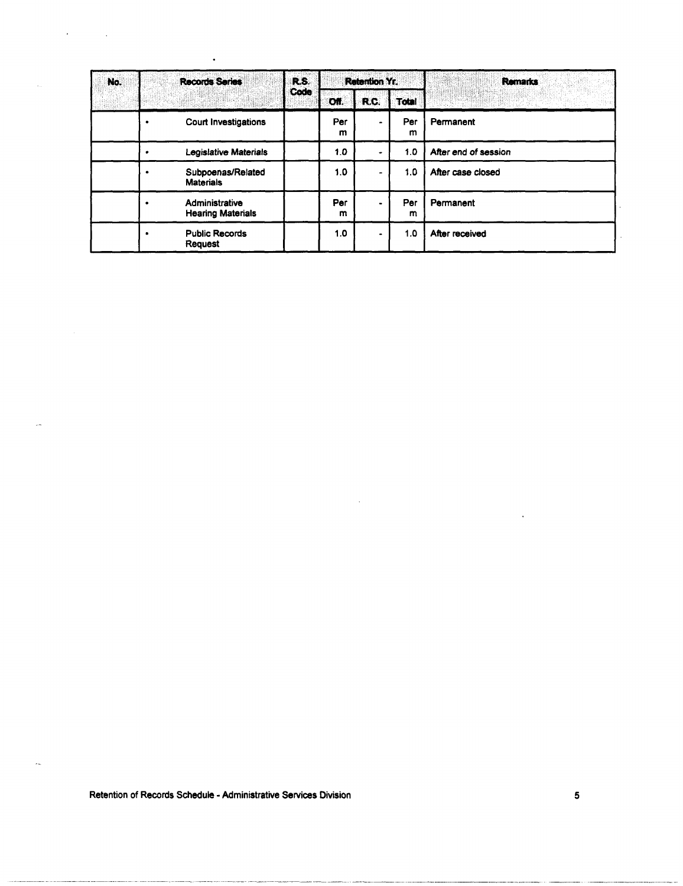| No. | <b>Records Series</b> | R.S.<br>Code                               |      | Retention Yr. |       | <b>Remarks</b>                                                                                                                                                                                                                         |                      |
|-----|-----------------------|--------------------------------------------|------|---------------|-------|----------------------------------------------------------------------------------------------------------------------------------------------------------------------------------------------------------------------------------------|----------------------|
|     |                       |                                            | Off. | R.C.          | Total | <b>Ang</b> Propinsi Pangunang Pangunang Pangunang Pangunang Pangunang Pangunang Pangunang Pangunang Pangunang Pangunan<br>Pangunang Pangunang Pangunang Pangunang Pangunang Pangunang Pangunang Pangunang Pangunang Pangunang Pangunan |                      |
|     |                       | <b>Court Investigations</b>                |      | Per<br>m      |       | Per<br>m                                                                                                                                                                                                                               | Permanent            |
|     |                       | <b>Legislative Materials</b>               |      | 1.0           |       | 1.0                                                                                                                                                                                                                                    | After end of session |
|     |                       | Subpoenas/Related<br><b>Materials</b>      |      | 1.0           |       | 1.0                                                                                                                                                                                                                                    | After case closed    |
|     |                       | Administrative<br><b>Hearing Materials</b> |      | Per<br>m      |       | Per<br>m                                                                                                                                                                                                                               | Permanent            |
|     |                       | <b>Public Records</b><br><b>Request</b>    |      | 1.0           |       | 1.0                                                                                                                                                                                                                                    | After received       |

Retention of Records Schedule - Administrative Services Division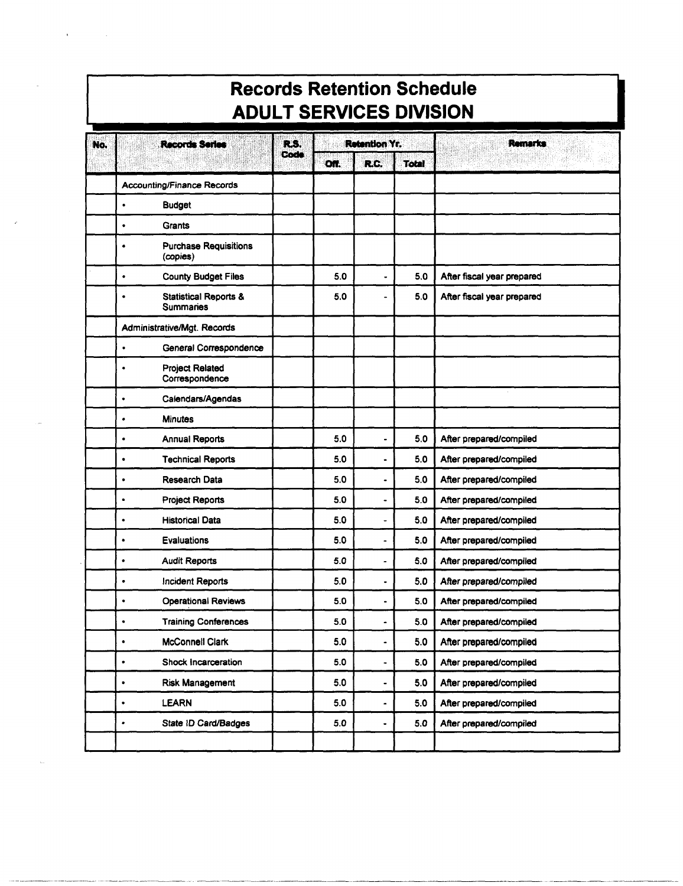### **Records Retention Schedule ADULT SERVICES DIVISION**

| No. | <b>Records Series</b>                                     | R.S. |      | <b>Retention Yr.</b>     |              | <b>Remarks</b>             |
|-----|-----------------------------------------------------------|------|------|--------------------------|--------------|----------------------------|
|     |                                                           | Code | Off. | R.C.                     | <b>Total</b> |                            |
|     | <b>Accounting/Finance Records</b>                         |      |      |                          |              |                            |
|     | <b>Budget</b><br>$\bullet$                                |      |      |                          |              |                            |
|     | <b>Grants</b><br>$\bullet$                                |      |      |                          |              |                            |
|     | <b>Purchase Requisitions</b><br>$\bullet$<br>(copies)     |      |      |                          |              |                            |
|     | <b>County Budget Files</b><br>$\bullet$                   |      | 5.0  |                          | 5.0          | After fiscal year prepared |
|     | <b>Statistical Reports &amp;</b><br>٠<br><b>Summaries</b> |      | 5.0  |                          | 5.0          | After fiscal year prepared |
|     | Administrative/Mgt. Records                               |      |      |                          |              |                            |
|     | General Correspondence<br>$\bullet$                       |      |      |                          |              |                            |
|     | <b>Project Related</b><br>$\bullet$<br>Correspondence     |      |      |                          |              |                            |
|     | Calendars/Agendas<br>$\bullet$                            |      |      |                          |              |                            |
|     | <b>Minutes</b><br>$\bullet$                               |      |      |                          |              |                            |
|     | <b>Annual Reports</b><br>$\bullet$                        |      | 5.0  | $\blacksquare$           | 5.0          | After prepared/compiled    |
|     | <b>Technical Reports</b><br>$\bullet$                     |      | 5.0  | $\overline{\phantom{0}}$ | 5.0          | After prepared/compiled    |
|     | <b>Research Data</b><br>$\bullet$                         |      | 5.0  | $\blacksquare$           | 5.0          | After prepared/compiled    |
|     | <b>Project Reports</b><br>$\bullet$                       |      | 5.0  | $\overline{a}$           | 5.0          | After prepared/compiled    |
|     | <b>Historical Data</b><br>$\bullet$                       |      | 5.0  | ÷.                       | 5.0          | After prepared/compiled    |
|     | Evaluations<br>$\bullet$                                  |      | 5.0  | ÷,                       | 5.0          | After prepared/compiled    |
|     | <b>Audit Reports</b><br>$\bullet$                         |      | 5.0  | $\blacksquare$           | 5.0          | After prepared/compiled    |
|     | <b>Incident Reports</b><br>$\bullet$                      |      | 5.0  | ٠                        | 5.0          | After prepared/compiled    |
|     | <b>Operational Reviews</b><br>$\bullet$                   |      | 5.0  | $\bullet$                | 5.0          | After prepared/compiled    |
|     | <b>Training Conferences</b><br>٠                          |      | 5.0  |                          | 5.0          | After prepared/compiled    |
|     | <b>McConnell Clark</b><br>٠                               |      | 5.0  |                          | 5.0          | After prepared/compiled    |
|     | Shock Incarceration<br>$\bullet$                          |      | 5.0  | ۰                        | 5.0          | After prepared/compiled    |
|     | Risk Management<br>٠                                      |      | 5.0  | $\blacksquare$           | 5.0          | After prepared/compiled    |
|     | <b>LEARN</b><br>٠                                         |      | 5.0  | ۰                        | 5.0          | After prepared/compiled    |
|     | State ID Card/Badges<br>٠                                 |      | 5.0  |                          | 5.0          | After prepared/compiled    |
|     |                                                           |      |      |                          |              |                            |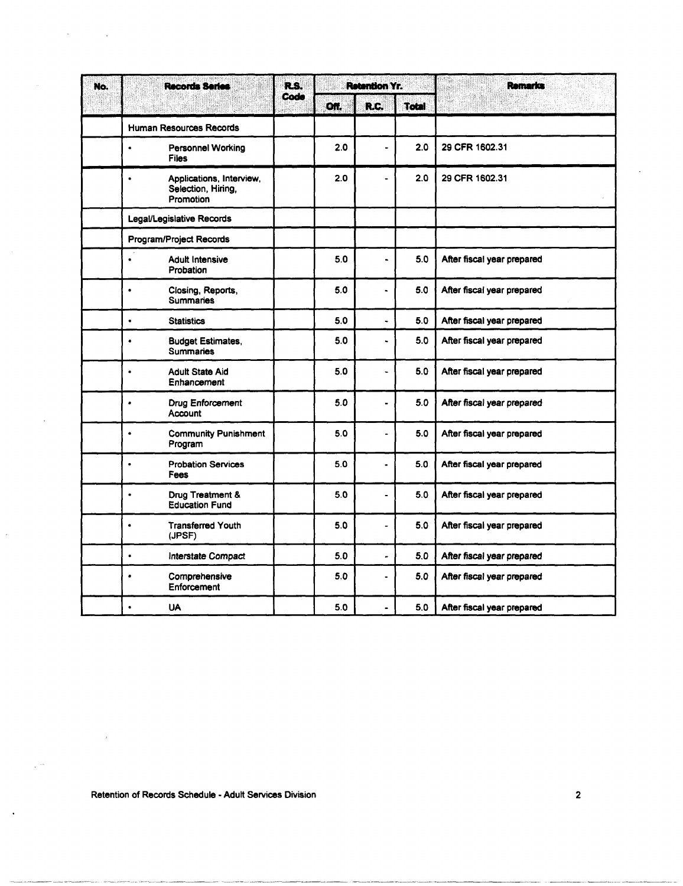| No. | Records Series                                                           | R.S.<br>Code |     | <b>Retention Yr.</b> |       | ۱.<br>Remarks<br>W.        |
|-----|--------------------------------------------------------------------------|--------------|-----|----------------------|-------|----------------------------|
|     |                                                                          |              | ON. | R.C.                 | Total | s.                         |
|     | <b>Human Resources Records</b>                                           |              |     |                      |       |                            |
|     | <b>Personnel Working</b><br>$\bullet$<br>Files                           |              | 2.0 | $\ddot{\phantom{0}}$ | 2.0   | 29 CFR 1602.31             |
|     | Applications, Interview,<br>$\bullet$<br>Selection, Hiring,<br>Promotion |              | 2.0 | $\ddot{\phantom{1}}$ | 2.0   | 29 CFR 1602.31             |
|     | Legal/Legislative Records                                                |              |     |                      |       |                            |
|     | Program/Project Records                                                  |              |     |                      |       |                            |
|     | <b>Adult Intensive</b><br>$\bullet$<br>Probation                         |              | 5.0 | $\ddot{\phantom{0}}$ | 5.0   | After fiscal year prepared |
|     | Closing, Reports,<br>$\bullet$<br><b>Summaries</b>                       |              | 5.0 | $\ddot{\phantom{0}}$ | 5.0   | After fiscal year prepared |
|     | <b>Statistics</b><br>$\bullet$                                           |              | 5.0 | $\ddot{\phantom{0}}$ | 5.0   | After fiscal year prepared |
|     | <b>Budget Estimates,</b><br>$\bullet$<br><b>Summaries</b>                |              | 5.0 | ٠                    | 5.0   | After fiscal year prepared |
|     | <b>Adult State Aid</b><br>$\bullet$<br>Enhancement                       |              | 5.0 | $\ddot{\phantom{0}}$ | 5.0   | After fiscal year prepared |
|     | <b>Drug Enforcement</b><br>٠<br>Account                                  |              | 5.0 | $\blacksquare$       | 5.0   | After fiscal year prepared |
|     | <b>Community Punishment</b><br>$\bullet$<br>Program                      |              | 5.0 | $\ddot{\phantom{1}}$ | 5.0   | After fiscal year prepared |
|     | <b>Probation Services</b><br>$\bullet$<br>Fees                           |              | 5.0 | $\ddot{\phantom{0}}$ | 5.0   | After fiscal year prepared |
|     | Drug Treatment &<br>$\bullet$<br><b>Education Fund</b>                   |              | 5.0 | $\overline{a}$       | 5.0   | After fiscal year prepared |
|     | <b>Transferred Youth</b><br>$\bullet$<br>(JPSF)                          |              | 5.0 | $\frac{1}{2}$        | 5.0   | After fiscal year prepared |
|     | Interstate Compact<br>$\bullet$                                          |              | 5.0 | ä,                   | 5.0   | After fiscal year prepared |
|     | Comprehensive<br>٠<br>Enforcement                                        |              | 5.0 | $\overline{a}$       | 5.0   | After fiscal year prepared |
|     | <b>UA</b><br>$\bullet$                                                   |              | 5.0 | $\blacksquare$       | 5.0   | After fiscal year prepared |

 $\overline{\phantom{a}}$ 

J.

 $\ddot{\phantom{0}}$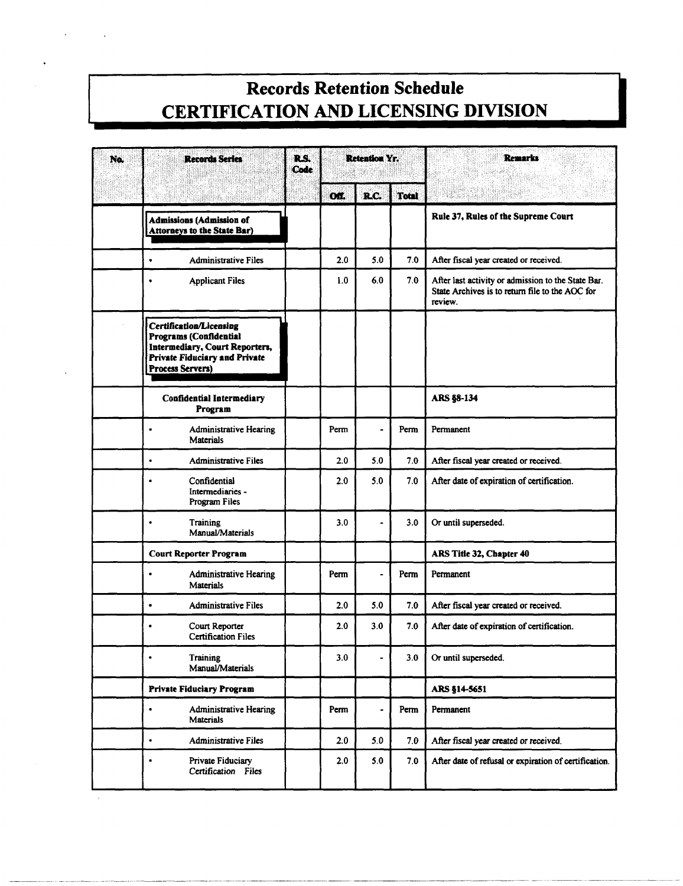#### **Records Retention Schedule CERTIFICATION AND LICENSING DIVISION**

| No. | <b>Records Series</b>                                                                                                                                         | R.S.<br>Code |           | <b>Retention Yr.</b> |              | <b>Remarks</b>                                                                                                   |
|-----|---------------------------------------------------------------------------------------------------------------------------------------------------------------|--------------|-----------|----------------------|--------------|------------------------------------------------------------------------------------------------------------------|
|     |                                                                                                                                                               |              | <b>OM</b> | R.C.                 | <b>Total</b> |                                                                                                                  |
|     | <b>Admissions (Admission of</b><br><b>Attorneys to the State Bar)</b>                                                                                         |              |           |                      |              | Rule 37, Rules of the Supreme Court                                                                              |
|     | $\bullet$<br><b>Administrative Files</b>                                                                                                                      |              | 2.0       | 5.0                  | 7.0          | After fiscal year created or received.                                                                           |
|     | <b>Applicant Files</b><br>$\bullet$                                                                                                                           |              | 1.0       | 6.0                  | 7.0          | After last activity or admission to the State Bar.<br>State Archives is to return file to the AOC for<br>review. |
|     | <b>Certification/Licensing</b><br>Programs (Confidential<br>Intermediary, Court Reporters,<br><b>Private Fiduciary and Private</b><br><b>Process Servers)</b> |              |           |                      |              |                                                                                                                  |
|     | <b>Confidential Intermediary</b><br>Program                                                                                                                   |              |           |                      |              | <b>ARS §8-134</b>                                                                                                |
|     | <b>Administrative Hearing</b><br>$\bullet$<br><b>Materials</b>                                                                                                |              | Perm      | $\blacksquare$       | Perm         | Permanent                                                                                                        |
|     | <b>Administrative Files</b><br>$\bullet$                                                                                                                      |              | 2.0       | 5.0                  | 7.0          | After fiscal year created or received.                                                                           |
|     | Confidential<br>$\bullet$<br>Intermediaries -<br>Program Files                                                                                                |              | 2.0       | 5.0                  | 7.0          | After date of expiration of certification.                                                                       |
|     | Training<br>$\bullet$<br>Manual/Materials                                                                                                                     |              | 3.0       | $\blacksquare$       | 3.0          | Or until superseded.                                                                                             |
|     | <b>Court Reporter Program</b>                                                                                                                                 |              |           |                      |              | ARS Title 32, Chapter 40                                                                                         |
|     | <b>Administrative Hearing</b><br>$\bullet$<br><b>Materials</b>                                                                                                |              | Perm      |                      | Perm         | Permanent                                                                                                        |
|     | <b>Administrative Files</b><br>$\bullet$                                                                                                                      |              | 2.0       | 5.0                  | 7.0          | After fiscal year created or received.                                                                           |
|     | Court Reporter<br>٠<br><b>Certification Files</b>                                                                                                             |              | 2.0       | 3.0                  | 7.0          | After date of expiration of certification.                                                                       |
|     | Training<br>$\bullet$<br>Manual/Materials                                                                                                                     |              | 3.0       |                      | 3.0          | Or until superseded.                                                                                             |
|     | <b>Private Fiduciary Program</b>                                                                                                                              |              |           |                      |              | ARS §14-5651                                                                                                     |
|     | <b>Administrative Hearing</b><br>$\bullet$<br><b>Materials</b>                                                                                                |              | Perm      | $\bullet$            | Perm         | Permanent                                                                                                        |
|     | <b>Administrative Files</b><br>$\bullet$                                                                                                                      |              | 2.0       | 5.0                  | 7.0          | After fiscal year created or received.                                                                           |
|     | Private Fiduciary<br>$\bullet$<br>Certification Files                                                                                                         |              | 2.0       | 5.0                  | 7.0          | After date of refusal or expiration of certification.                                                            |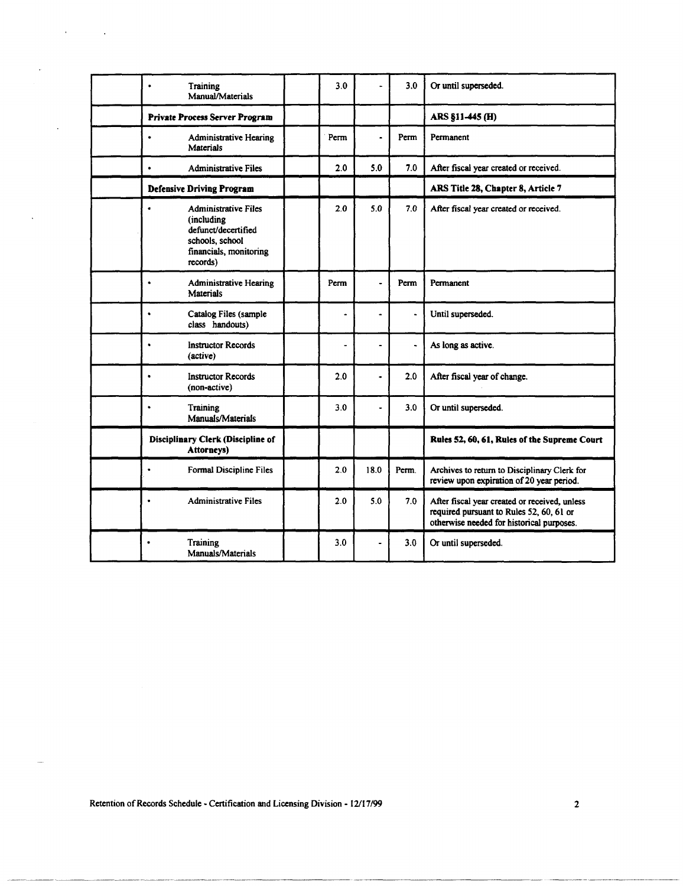| Training<br>$\bullet$<br>Manual/Materials                                                                                               | 3.0                      |                | 3.0                   | Or until superseded.                                                                                                                   |
|-----------------------------------------------------------------------------------------------------------------------------------------|--------------------------|----------------|-----------------------|----------------------------------------------------------------------------------------------------------------------------------------|
| Private Process Server Program                                                                                                          |                          |                |                       | ARS §11-445 (H)                                                                                                                        |
| <b>Administrative Hearing</b><br>$\bullet$<br><b>Materials</b>                                                                          | Perm                     | $\blacksquare$ | Perm                  | Permanent                                                                                                                              |
| <b>Administrative Files</b><br>$\bullet$                                                                                                | 2.0                      | 5.0            | 7.0                   | After fiscal year created or received.                                                                                                 |
| <b>Defensive Driving Program</b>                                                                                                        |                          |                |                       | ARS Title 28, Chapter 8, Article 7                                                                                                     |
| <b>Administrative Files</b><br>$\bullet$<br>(including)<br>defunct/decertified<br>schools, school<br>financials, monitoring<br>records) | 2.0                      | 5.0            | 7.0                   | After fiscal year created or received.                                                                                                 |
| <b>Administrative Hearing</b><br>$\bullet$<br><b>Materials</b>                                                                          | Perm                     | ÷              | Perm                  | Permanent                                                                                                                              |
| Catalog Files (sample<br>$\bullet$<br>class handouts)                                                                                   | ٠                        |                | $\tilde{\phantom{a}}$ | Until superseded.                                                                                                                      |
| <b>Instructor Records</b><br>$\bullet$<br>(active)                                                                                      | $\overline{\phantom{0}}$ | $\blacksquare$ | $\ddot{\phantom{1}}$  | As long as active.                                                                                                                     |
| <b>Instructor Records</b><br>$\bullet$<br>(non-active)                                                                                  | 2.0                      |                | 2.0                   | After fiscal year of change.                                                                                                           |
| Training<br>$\bullet$<br>Manuals/Materials                                                                                              | 3.0                      | $\blacksquare$ | 3.0                   | Or until superseded.                                                                                                                   |
| <b>Disciplinary Clerk (Discipline of</b><br>Attorneys)                                                                                  |                          |                |                       | Rules 52, 60, 61, Rules of the Supreme Court                                                                                           |
| Formal Discipline Files<br>$\bullet$                                                                                                    | 2.0                      | 18.0           | Perm.                 | Archives to return to Disciplinary Clerk for<br>review upon expiration of 20 year period.                                              |
| <b>Administrative Files</b><br>٠                                                                                                        | 2.0                      | 5.0            | 7.0                   | After fiscal year created or received, unless<br>required pursuant to Rules 52, 60, 61 or<br>otherwise needed for historical purposes. |
| Training<br>$\bullet$<br>Manuals/Materials                                                                                              | 3.0                      |                | 3.0                   | Or until superseded.                                                                                                                   |

Retention of Records Schedule - Certification and Licensing Division - 12/17/99 2

 $\mathbf{r}$ 

 $\ddot{\phantom{a}}$ 

k.

 $\sim$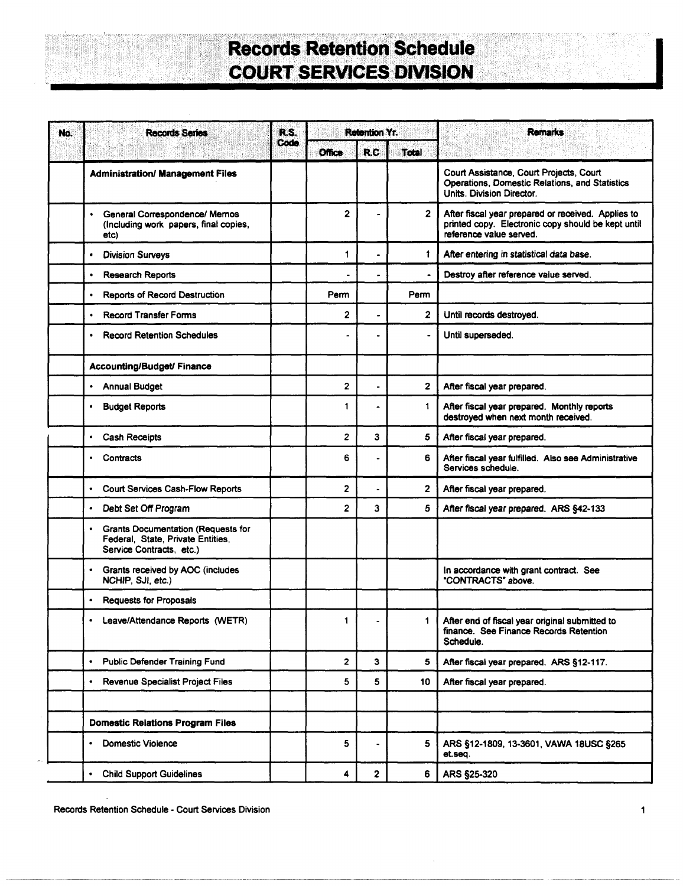## **Records Retention Schedule COURT** SERVICES DIVISION

| No. | <b>Records Series</b>                                                                                           | R.S.<br>Code |                | <b>Retention Yr.</b> |              | <b>Remarks</b>                                                                                                                      |
|-----|-----------------------------------------------------------------------------------------------------------------|--------------|----------------|----------------------|--------------|-------------------------------------------------------------------------------------------------------------------------------------|
|     |                                                                                                                 |              | <b>Office</b>  | <b>R.C</b>           | Total        |                                                                                                                                     |
|     | <b>Administration/ Management Files</b>                                                                         |              |                |                      |              | Court Assistance, Court Projects, Court<br>Operations, Domestic Relations, and Statistics<br>Units. Division Director.              |
|     | General Correspondence/ Memos<br>$\bullet$<br>(Including work papers, final copies,<br>etc)                     |              | $\overline{2}$ |                      | $\mathbf{2}$ | After fiscal year prepared or received. Applies to<br>printed copy. Electronic copy should be kept until<br>reference value served. |
|     | <b>Division Surveys</b><br>$\bullet$                                                                            |              | 1              |                      | 1.           | After entering in statistical data base.                                                                                            |
|     | <b>Research Reports</b><br>$\bullet$                                                                            |              |                |                      |              | Destroy after reference value served.                                                                                               |
|     | <b>Reports of Record Destruction</b><br>$\bullet$                                                               |              | Perm           |                      | Perm         |                                                                                                                                     |
|     | <b>Record Transfer Forms</b><br>$\bullet$                                                                       |              | $\overline{2}$ |                      | 2            | Until records destroyed.                                                                                                            |
|     | <b>Record Retention Schedules</b><br>٠                                                                          |              |                |                      |              | Until superseded.                                                                                                                   |
|     | Accounting/Budget/ Finance                                                                                      |              |                |                      |              |                                                                                                                                     |
|     | <b>Annual Budget</b><br>٠                                                                                       |              | $\overline{2}$ |                      | 2            | After fiscal year prepared.                                                                                                         |
|     | <b>Budget Reports</b><br>$\bullet$                                                                              |              | 1              |                      | 1            | After fiscal year prepared. Monthly reports<br>destroyed when next month received.                                                  |
|     | Cash Receipts<br>$\bullet$                                                                                      |              | $\overline{c}$ | 3                    | 5            | After fiscal year prepared.                                                                                                         |
|     | Contracts<br>$\bullet$                                                                                          |              | 6              |                      | 6            | After fiscal year fulfilled. Also see Administrative<br>Services schedule.                                                          |
|     | <b>Court Services Cash-Flow Reports</b><br>$\bullet$                                                            |              | 2              |                      | 2            | After fiscal year prepared.                                                                                                         |
|     | Debt Set Off Program<br>$\bullet$                                                                               |              | $\overline{2}$ | 3                    | 5            | After fiscal year prepared. ARS §42-133                                                                                             |
|     | <b>Grants Documentation (Requests for</b><br>٠<br>Federal, State, Private Entities,<br>Service Contracts, etc.) |              |                |                      |              |                                                                                                                                     |
|     | Grants received by AOC (includes<br>$\bullet$<br>NCHIP, SJI, etc.)                                              |              |                |                      |              | In accordance with grant contract. See<br>"CONTRACTS" above.                                                                        |
|     | <b>Requests for Proposals</b><br>$\bullet$                                                                      |              |                |                      |              |                                                                                                                                     |
|     | Leave/Attendance Reports (WETR)<br>٠                                                                            |              | 1              |                      | 1.           | After end of fiscal year original submitted to<br>finance. See Finance Records Retention<br>Schedule.                               |
|     | <b>Public Defender Training Fund</b><br>$\bullet$                                                               |              | 2              | 3                    | 5            | After fiscal year prepared. ARS §12-117.                                                                                            |
|     | Revenue Specialist Project Files<br>$\bullet$                                                                   |              | 5              | 5                    | 10           | After fiscal year prepared.                                                                                                         |
|     |                                                                                                                 |              |                |                      |              |                                                                                                                                     |
|     | <b>Domestic Relations Program Files</b>                                                                         |              |                |                      |              |                                                                                                                                     |
|     | <b>Domestic Violence</b><br>٠                                                                                   |              | 5              | $\blacksquare$       | 5            | ARS §12-1809, 13-3601, VAWA 18USC §265<br>et.seq.                                                                                   |
|     | <b>Child Support Guidelines</b><br>$\bullet$                                                                    |              | 4              | 2                    | 6            | ARS §25-320                                                                                                                         |

Records Retention Schedule - Court Services Division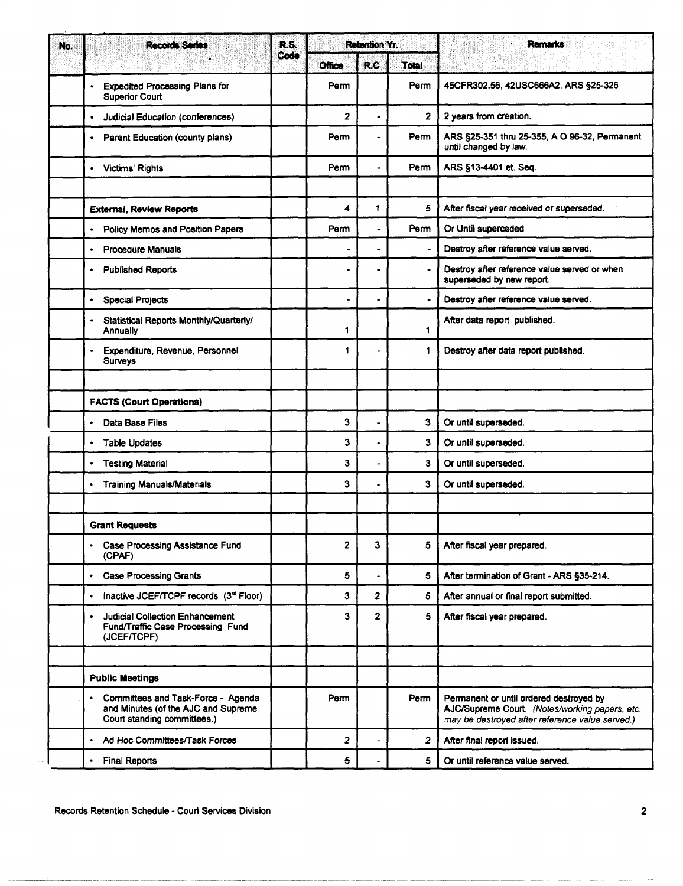| <b>Records Series</b><br>No.                                                                                          | R.S.<br>Code | Retention Yr.  |                         |                | <b>Remarks</b>                                                                                                                               |
|-----------------------------------------------------------------------------------------------------------------------|--------------|----------------|-------------------------|----------------|----------------------------------------------------------------------------------------------------------------------------------------------|
|                                                                                                                       |              | <b>Office</b>  | <b>R.C</b>              | <b>Total</b>   |                                                                                                                                              |
| <b>Expedited Processing Plans for</b><br>٠<br><b>Superior Court</b>                                                   |              | Perm           |                         | Perm           | 45CFR302.56, 42USC666A2, ARS §25-326                                                                                                         |
| Judicial Education (conferences)                                                                                      |              | $\overline{2}$ | $\ddot{\phantom{1}}$    | $\overline{2}$ | 2 years from creation.                                                                                                                       |
| Parent Education (county plans)<br>$\bullet$                                                                          |              | Perm           |                         | Perm           | ARS §25-351 thru 25-355, A O 96-32, Permanent<br>until changed by law.                                                                       |
| <b>Victims' Rights</b><br>٠                                                                                           |              | Perm           |                         | Perm           | ARS §13-4401 et. Seq.                                                                                                                        |
|                                                                                                                       |              |                |                         |                |                                                                                                                                              |
| <b>External, Review Reports</b>                                                                                       |              | 4              | 1                       | 5              | After fiscal year received or superseded.                                                                                                    |
| <b>Policy Memos and Position Papers</b><br>٠                                                                          |              | Perm           | ٠                       | Perm           | Or Until superceded                                                                                                                          |
| <b>Procedure Manuals</b><br>$\bullet$                                                                                 |              |                |                         | $\blacksquare$ | Destroy after reference value served.                                                                                                        |
| <b>Published Reports</b><br>٠                                                                                         |              |                |                         |                | Destroy after reference value served or when<br>superseded by new report.                                                                    |
| <b>Special Projects</b><br>$\bullet$                                                                                  |              | $\blacksquare$ |                         |                | Destroy after reference value served.                                                                                                        |
| Statistical Reports Monthly/Quarterly/<br>Annually                                                                    |              | 1              |                         | $\mathbf 1$    | After data report published.                                                                                                                 |
| Expenditure, Revenue, Personnel<br><b>Surveys</b>                                                                     |              | 1              | $\blacksquare$          | 1              | Destroy after data report published.                                                                                                         |
|                                                                                                                       |              |                |                         |                |                                                                                                                                              |
| <b>FACTS (Court Operations)</b>                                                                                       |              |                |                         |                |                                                                                                                                              |
| Data Base Files<br>٠                                                                                                  |              | 3              |                         | 3              | Or until superseded.                                                                                                                         |
| <b>Table Updates</b><br>$\bullet$                                                                                     |              | 3              |                         | 3              | Or until superseded.                                                                                                                         |
| <b>Testing Material</b><br>$\bullet$                                                                                  |              | 3              |                         | 3              | Or until superseded.                                                                                                                         |
| <b>Training Manuals/Materials</b><br>$\bullet$                                                                        |              | 3              |                         | 3              | Or until superseded.                                                                                                                         |
|                                                                                                                       |              |                |                         |                |                                                                                                                                              |
| <b>Grant Requests</b>                                                                                                 |              |                |                         |                |                                                                                                                                              |
| <b>Case Processing Assistance Fund</b><br>$\bullet$<br>(CPAF)                                                         |              | 2              | 3                       | 5              | After fiscal year prepared.                                                                                                                  |
| <b>Case Processing Grants</b><br>$\bullet$                                                                            |              | 5              |                         | 5              | After termination of Grant - ARS §35-214.                                                                                                    |
| Inactive JCEF/TCPF records (3rd Floor)<br>$\bullet$                                                                   |              | 3              | $\overline{\mathbf{c}}$ | 5              | After annual or final report submitted.                                                                                                      |
| <b>Judicial Collection Enhancement</b><br>Fund/Traffic Case Processing Fund<br>(JCEF/TCPF)                            |              | 3              | $\overline{2}$          | 5              | After fiscal year prepared.                                                                                                                  |
|                                                                                                                       |              |                |                         |                |                                                                                                                                              |
| <b>Public Meetings</b>                                                                                                |              |                |                         |                |                                                                                                                                              |
| Committees and Task-Force - Agenda<br>$\bullet$<br>and Minutes (of the AJC and Supreme<br>Court standing committees.) |              | Perm           |                         | Perm           | Permanent or until ordered destroyed by<br>AJC/Supreme Court. (Notes/working papers, etc.<br>may be destroyed after reference value served.) |
| Ad Hoc Committees/Task Forces<br>$\bullet$                                                                            |              | 2              | ä,                      | $\overline{2}$ | After final report issued.                                                                                                                   |
| <b>Final Reports</b><br>$\bullet$                                                                                     |              | 5              |                         | 5.             | Or until reference value served.                                                                                                             |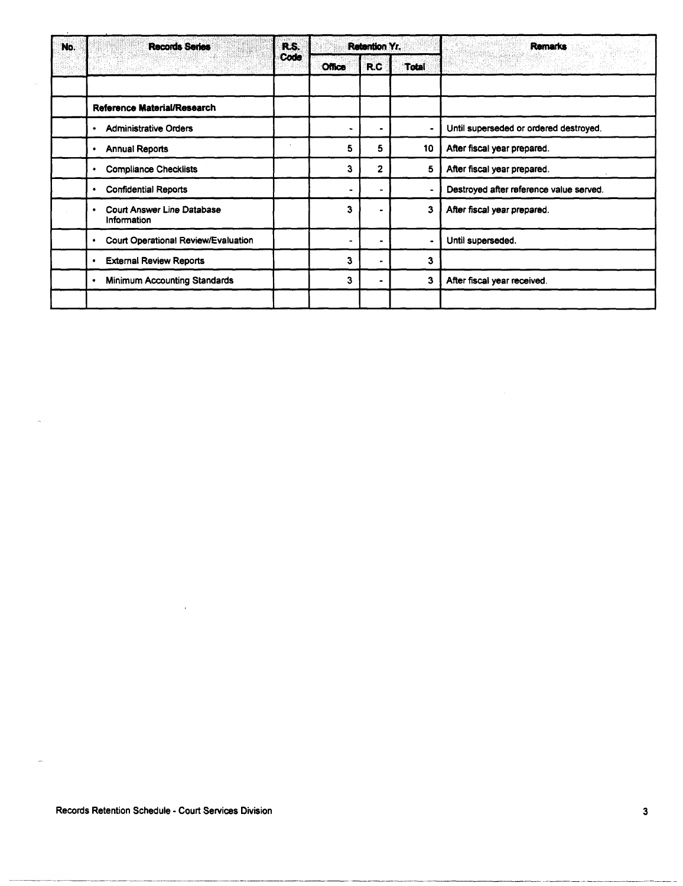| No. | <b>Records Series</b>                                  |      |                | <b>Retention Yr.</b> |              | <b>Remarks</b>                          |
|-----|--------------------------------------------------------|------|----------------|----------------------|--------------|-----------------------------------------|
|     |                                                        | Code | <b>Office</b>  | <b>R.C.</b>          | <b>Total</b> |                                         |
|     |                                                        |      |                |                      |              |                                         |
|     | Reference Material/Research                            |      |                |                      |              |                                         |
|     | <b>Administrative Orders</b><br>٠                      |      |                |                      |              | Until superseded or ordered destroyed.  |
|     | <b>Annual Reports</b><br>٠                             |      | 5              | 5                    | 10           | After fiscal year prepared.             |
|     | <b>Compliance Checklists</b><br>٠                      |      | 3              | $\overline{2}$       | 5            | After fiscal year prepared.             |
|     | <b>Confidential Reports</b><br>٠                       |      | $\blacksquare$ |                      |              | Destroyed after reference value served. |
|     | Court Answer Line Database<br>$\bullet$<br>Information |      | 3              |                      | 3            | After fiscal year prepared.             |
|     | Court Operational Review/Evaluation<br>٠               |      |                |                      |              | Until superseded.                       |
|     | <b>External Review Reports</b><br>٠                    |      | 3              | $\blacksquare$       | 3            |                                         |
|     | <b>Minimum Accounting Standards</b><br>٠               |      | 3              | ۰                    | 3            | After fiscal year received.             |
|     |                                                        |      |                |                      |              |                                         |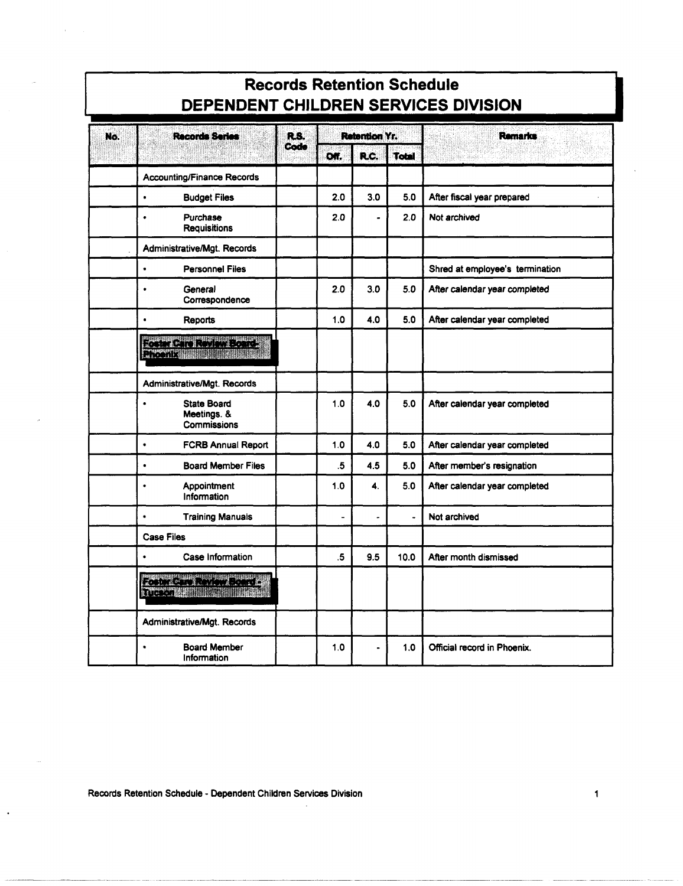| DEPENDENT CHILDREN SERVICES DIVISION |                                                               |      |               |                      |                |                                 |  |  |  |
|--------------------------------------|---------------------------------------------------------------|------|---------------|----------------------|----------------|---------------------------------|--|--|--|
| No.                                  | R.S.                                                          |      | Retention Yr. |                      | <b>Remarks</b> |                                 |  |  |  |
|                                      |                                                               | Code | <b>DAT</b>    | R.C.                 | <b>Total</b>   |                                 |  |  |  |
|                                      | <b>Accounting/Finance Records</b>                             |      |               |                      |                |                                 |  |  |  |
|                                      | $\bullet$<br><b>Budget Files</b>                              |      | 2.0           | 3.0                  | 5.0            | After fiscal year prepared      |  |  |  |
|                                      | <b>Purchase</b><br>$\bullet$<br><b>Requisitions</b>           |      | 2.0           |                      | 2.0            | Not archived                    |  |  |  |
|                                      | Administrative/Mgt. Records                                   |      |               |                      |                |                                 |  |  |  |
|                                      | $\bullet$<br><b>Personnel Files</b>                           |      |               |                      |                | Shred at employee's termination |  |  |  |
|                                      | General<br>$\bullet$<br>Correspondence                        |      | 2.0           | 3.0                  | 5.0            | After calendar year completed   |  |  |  |
|                                      | $\bullet$<br><b>Reports</b>                                   |      | 1.0           | 4.0                  | 5.0            | After calendar year completed   |  |  |  |
|                                      | RANCE COMPANY<br><b>TYMMARTING</b>                            |      |               |                      |                |                                 |  |  |  |
|                                      | Administrative/Mgt. Records                                   |      |               |                      |                |                                 |  |  |  |
|                                      | <b>State Board</b><br>$\bullet$<br>Meetings. &<br>Commissions |      | 1.0           | 4.0                  | 5.0            | After calendar year completed   |  |  |  |
|                                      | $\bullet$<br><b>FCRB Annual Report</b>                        |      | 1.0           | 4.0                  | 5.0            | After calendar year completed   |  |  |  |
|                                      | <b>Board Member Files</b><br>$\bullet$                        |      | .5            | 4.5                  | 5.0            | After member's resignation      |  |  |  |
|                                      | Appointment<br>$\bullet$<br>Information                       |      | 1.0           | 4.                   | 5.0            | After calendar year completed   |  |  |  |
|                                      | $\bullet$<br><b>Training Manuals</b>                          |      |               | $\ddot{\phantom{0}}$ | ÷.             | Not archived                    |  |  |  |
|                                      | <b>Case Files</b>                                             |      |               |                      |                |                                 |  |  |  |
|                                      | Case Information<br>$\bullet$                                 |      | .5            | 9.5                  | 10.0           | After month dismissed           |  |  |  |
|                                      | THE R. P. LEWIS CO., LANSING MICH.<br>TTPPPF NS               |      |               |                      |                |                                 |  |  |  |
|                                      | Administrative/Mgt. Records                                   |      |               |                      |                |                                 |  |  |  |
|                                      | <b>Board Member</b><br>$\bullet$<br>Information               |      | 1.0           | $\overline{a}$       | 1.0            | Official record in Phoenix.     |  |  |  |

**Records Retention Schedule** 

Records Retention Schedule - Dependent Children Services Division

 $\ddot{\phantom{0}}$ 

 $\mathbf{r}$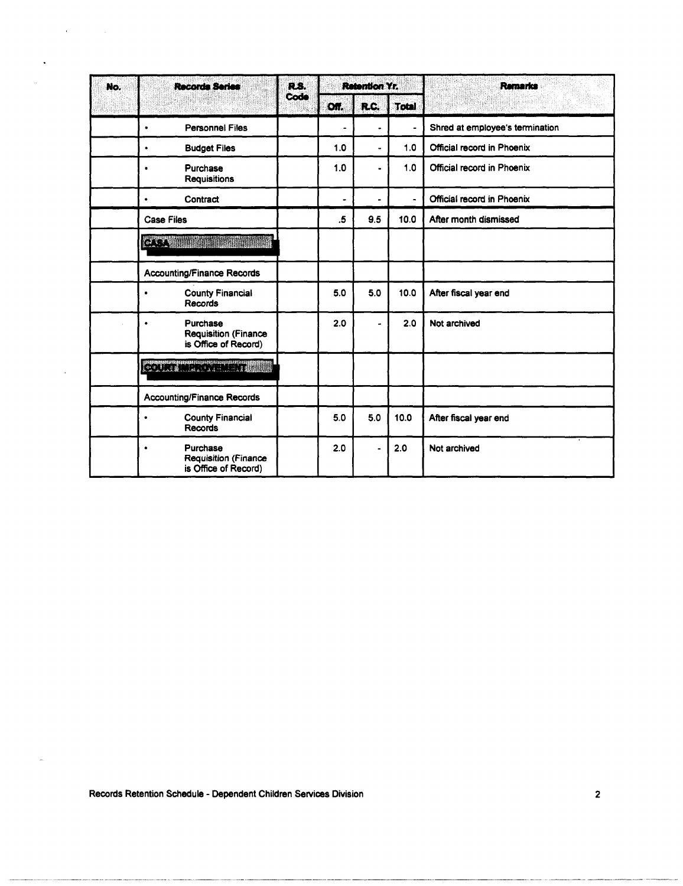| No. | <b>Records Series</b>                                                        | R.S. |      | <b>Retention Yr.</b> |                | Remarks                         |
|-----|------------------------------------------------------------------------------|------|------|----------------------|----------------|---------------------------------|
|     |                                                                              | Code | Off. | R.C.                 | <b>Total</b>   |                                 |
|     | <b>Personnel Files</b><br>٠                                                  |      | ۰    |                      |                | Shred at employee's termination |
|     | <b>Budget Files</b><br>٠                                                     |      | 1.0  | ۵                    | 1.0            | Official record in Phoenix      |
|     | Purchase<br>$\bullet$<br><b>Requisitions</b>                                 |      | 1.0  | $\blacksquare$       | 1.0            | Official record in Phoenix      |
|     | Contract                                                                     |      |      |                      | $\blacksquare$ | Official record in Phoenix      |
|     | <b>Case Files</b>                                                            |      | .5   | 9.5                  | 10.0           | After month dismissed           |
|     | <b>BASES</b>                                                                 |      |      |                      |                |                                 |
|     | <b>Accounting/Finance Records</b>                                            |      |      |                      |                |                                 |
|     | <b>County Financial</b><br>$\bullet$<br><b>Records</b>                       |      | 5.0  | 5.0                  | 10.0           | After fiscal year end           |
|     | Purchase<br><b>Requisition (Finance</b><br>is Office of Record)              |      | 2.0  |                      | 2.0            | Not archived                    |
|     | <b>Collaring Critical</b>                                                    |      |      |                      |                |                                 |
|     | <b>Accounting/Finance Records</b>                                            |      |      |                      |                |                                 |
|     | <b>County Financial</b><br>$\bullet$<br><b>Records</b>                       |      | 5.0  | 5.0                  | 10.0           | After fiscal year end           |
|     | Purchase<br>$\bullet$<br><b>Requisition (Finance</b><br>is Office of Record) |      | 2.0  |                      | 2.0            | Not archived                    |

Records Retention Schedule - Dependent Children Services Division

ana ang pag

 $\mathbf{A}^{(1)}$  and  $\mathbf{A}^{(2)}$  and  $\mathbf{A}^{(3)}$ 

l,

 $\ddot{\phantom{1}}$ 

i<br>Seriaa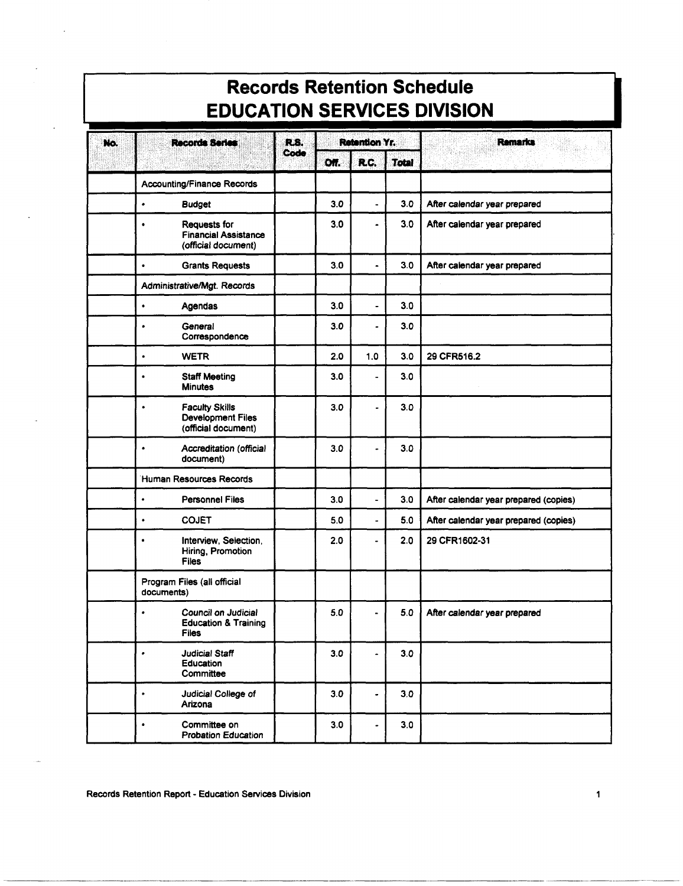| <b>EDUCATION SERVICES DIVISION</b> |                                                                                       |      |      |                          |              |                                       |  |  |  |  |
|------------------------------------|---------------------------------------------------------------------------------------|------|------|--------------------------|--------------|---------------------------------------|--|--|--|--|
| Records Series<br>R.S.<br>No.      |                                                                                       |      |      | <b>Retention Yr.</b>     |              | <b>Remarks</b>                        |  |  |  |  |
|                                    |                                                                                       | Code | Off. | R.C.                     | <b>Total</b> |                                       |  |  |  |  |
|                                    | <b>Accounting/Finance Records</b>                                                     |      |      |                          |              |                                       |  |  |  |  |
|                                    | ٠<br><b>Budget</b>                                                                    |      | 3.0  | ÷.                       | 3.0          | After calendar year prepared          |  |  |  |  |
|                                    | Requests for<br>۰<br><b>Financial Assistance</b><br>(official document)               |      | 3.0  |                          | 3.0          | After calendar year prepared          |  |  |  |  |
|                                    | <b>Grants Requests</b><br>$\bullet$                                                   |      | 3.0  | $\overline{\phantom{a}}$ | 3.0          | After calendar year prepared          |  |  |  |  |
|                                    | Administrative/Mgt. Records                                                           |      |      |                          |              |                                       |  |  |  |  |
|                                    | $\bullet$<br>Agendas                                                                  |      | 3.0  | ۰                        | 3.0          |                                       |  |  |  |  |
|                                    | General<br>$\bullet$<br>Correspondence                                                |      | 3.0  |                          | 3.0          |                                       |  |  |  |  |
|                                    | $\bullet$<br><b>WETR</b>                                                              |      | 2.0  | 1.0                      | 3.0          | 29 CFR516.2                           |  |  |  |  |
|                                    | <b>Staff Meeting</b><br>$\bullet$<br><b>Minutes</b>                                   |      | 3.0  | ٠                        | 3.0          |                                       |  |  |  |  |
|                                    | <b>Faculty Skills</b><br>$\bullet$<br><b>Development Files</b><br>(official document) |      | 3.0  |                          | 3.0          |                                       |  |  |  |  |
|                                    | <b>Accreditation (official</b><br>$\bullet$<br>document)                              |      | 3.0  |                          | 3.0          |                                       |  |  |  |  |
|                                    | Human Resources Records                                                               |      |      |                          |              |                                       |  |  |  |  |
|                                    | <b>Personnel Files</b><br>$\bullet$                                                   |      | 3.0  |                          | 3.0          | After calendar year prepared (copies) |  |  |  |  |
|                                    | <b>COJET</b><br>$\bullet$                                                             |      | 5.0  |                          | 5.0          | After calendar year prepared (copies) |  |  |  |  |
|                                    | Interview, Selection,<br>$\bullet$<br>Hiring, Promotion<br><b>Files</b>               |      | 2.0  |                          | 2.0          | 29 CFR1602-31                         |  |  |  |  |
|                                    | Program Files (all official<br>documents)                                             |      |      |                          |              |                                       |  |  |  |  |
|                                    | Council on Judicial<br>٠<br><b>Education &amp; Training</b><br><b>Files</b>           |      | 5.0  |                          | 5.0          | After calendar year prepared          |  |  |  |  |
|                                    | Judicial Staff<br>٠<br>Education<br>Committee                                         |      | 3.0  | ۰                        | 3.0          |                                       |  |  |  |  |
|                                    | Judicial College of<br>$\bullet$<br>Arizona                                           |      | 3.0  |                          | 3.0          |                                       |  |  |  |  |
|                                    | Committee on<br>$\bullet$<br><b>Probation Education</b>                               |      | 3.0  |                          | 3.0          |                                       |  |  |  |  |

# **Records Retention Schedule**

Records Retention Report - Education Services Division

 $\mathbf{1}$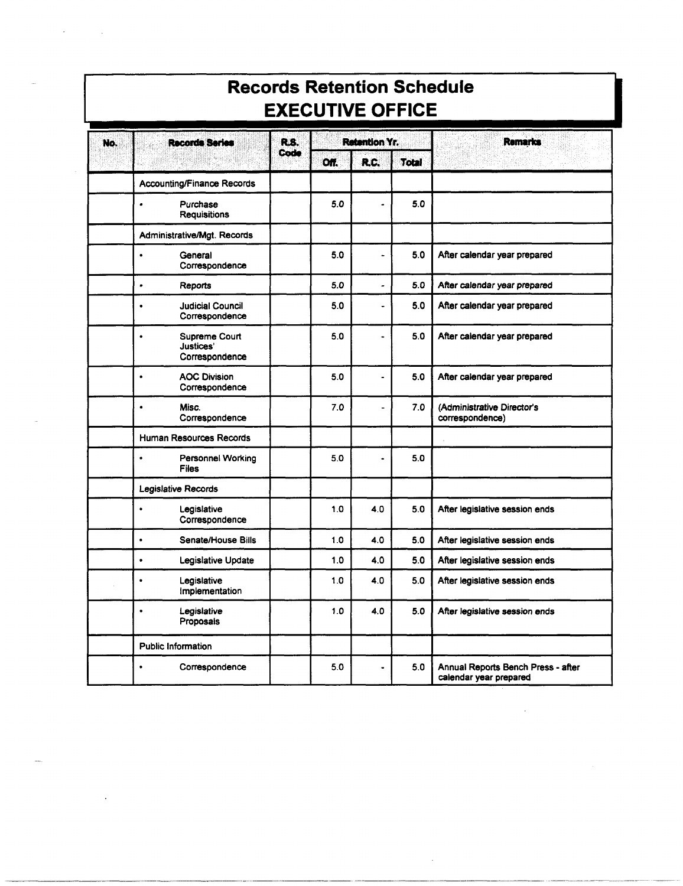| <b>EXECUTIVE OFFICE</b> |                                                           |             |      |                |              |                                                              |  |  |  |  |
|-------------------------|-----------------------------------------------------------|-------------|------|----------------|--------------|--------------------------------------------------------------|--|--|--|--|
| No.                     | <b>Records Series</b>                                     | <b>R.S.</b> |      | Retention Yr.  |              | <b>Remarks</b>                                               |  |  |  |  |
|                         |                                                           | Code        | Off. | R.C.           | <b>Total</b> |                                                              |  |  |  |  |
|                         | <b>Accounting/Finance Records</b>                         |             |      |                |              |                                                              |  |  |  |  |
|                         | Purchase<br>٠<br><b>Requisitions</b>                      |             | 5.0  |                | 5.0          |                                                              |  |  |  |  |
|                         | Administrative/Mgt. Records                               |             |      |                |              |                                                              |  |  |  |  |
|                         | General<br>٠<br>Correspondence                            |             | 5.0  | $\blacksquare$ | 5.0          | After calendar year prepared                                 |  |  |  |  |
|                         | Reports<br>$\bullet$                                      |             | 5.0  | ٠              | 5.0          | After calendar year prepared                                 |  |  |  |  |
|                         | <b>Judicial Council</b><br>$\bullet$<br>Correspondence    |             | 5.0  | ٠              | 5.0          | After calendar year prepared                                 |  |  |  |  |
|                         | Supreme Court<br>$\bullet$<br>Justices'<br>Correspondence |             | 5.0  | ٠              | 5.0          | After calendar year prepared                                 |  |  |  |  |
|                         | <b>AOC Division</b><br>$\bullet$<br>Correspondence        |             | 5.0  | ٠              | 5.0          | After calendar year prepared                                 |  |  |  |  |
|                         | Misc.<br>$\bullet$<br>Correspondence                      |             | 7.0  | ä,             | 7.0          | (Administrative Director's<br>correspondence)                |  |  |  |  |
|                         | Human Resources Records                                   |             |      |                |              |                                                              |  |  |  |  |
|                         | <b>Personnel Working</b><br>$\bullet$<br><b>Files</b>     |             | 5.0  | $\bullet$      | 5.0          |                                                              |  |  |  |  |
|                         | Legislative Records                                       |             |      |                |              |                                                              |  |  |  |  |
|                         | Legislative<br>$\bullet$<br>Correspondence                |             | 1.0  | 4.0            | 5.0          | After legislative session ends                               |  |  |  |  |
|                         | Senate/House Bills<br>$\bullet$                           |             | 1.0  | 4.0            | 5.0          | After legislative session ends                               |  |  |  |  |
|                         | Legislative Update<br>٠                                   |             | 1.0  | 4.0            | 5.0          | After legislative session ends                               |  |  |  |  |
|                         | Legislative<br>٠<br>Implementation                        |             | 1.0  | 4.0            | 5.0          | After legislative session ends                               |  |  |  |  |
|                         | Legislative<br>$\bullet$<br>Proposals                     |             | 1.0  | 4.0            | 5.0          | After legislative session ends                               |  |  |  |  |
|                         | <b>Public Information</b>                                 |             |      |                |              |                                                              |  |  |  |  |
|                         | Correspondence<br>$\bullet$                               |             | 5.0  | ٠              | 5.0          | Annual Reports Bench Press - after<br>calendar year prepared |  |  |  |  |

 $\sim$   $\sim$ 

**Records Retention Schedule**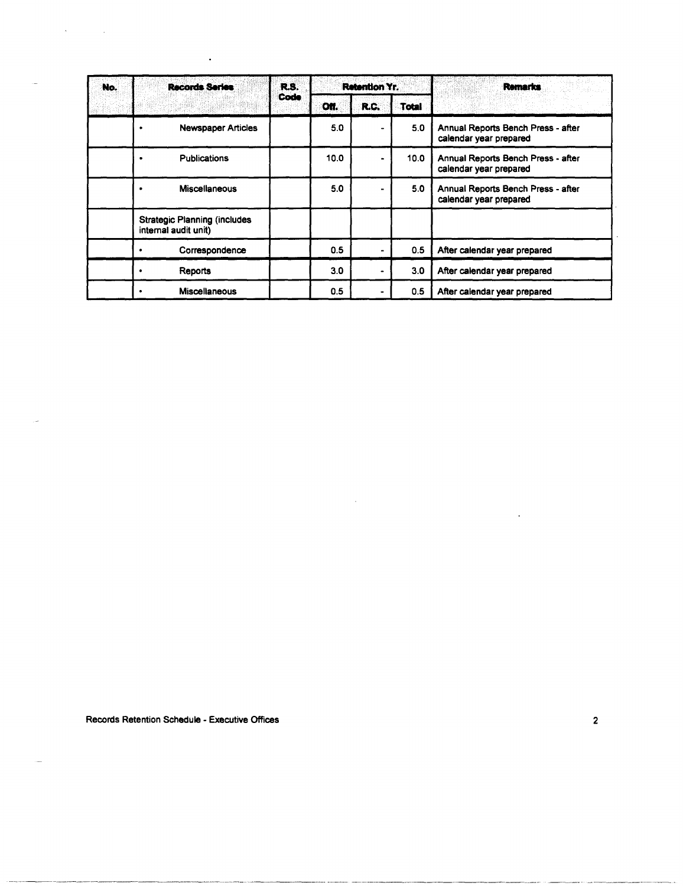| No. | <b>Records Series</b>                                       | R.S. |      | <b>Retention Yr.</b> |                   | Remarks                                                      |
|-----|-------------------------------------------------------------|------|------|----------------------|-------------------|--------------------------------------------------------------|
|     |                                                             | Code | Off. | R.C.                 | <b>Total</b>      |                                                              |
|     | <b>Newspaper Articles</b>                                   |      | 5.0  |                      | 5.0               | Annual Reports Bench Press - after<br>calendar year prepared |
|     | Publications                                                |      | 10.0 |                      | 10.0 <sub>1</sub> | Annual Reports Bench Press - after<br>calendar year prepared |
|     | <b>Miscellaneous</b>                                        |      | 5.0  |                      | 5.0               | Annual Reports Bench Press - after<br>calendar year prepared |
|     | <b>Strategic Planning (includes</b><br>internal audit unit) |      |      |                      |                   |                                                              |
|     | Correspondence                                              |      | 0.5  |                      | 0.5               | After calendar year prepared                                 |
|     | Reports                                                     |      | 3.0  |                      | 3.0               | After calendar year prepared                                 |
|     | <b>Miscellaneous</b>                                        |      | 0.5  |                      | 0.5               | After calendar year prepared                                 |

Records Retention Schedule - Executive Offices 2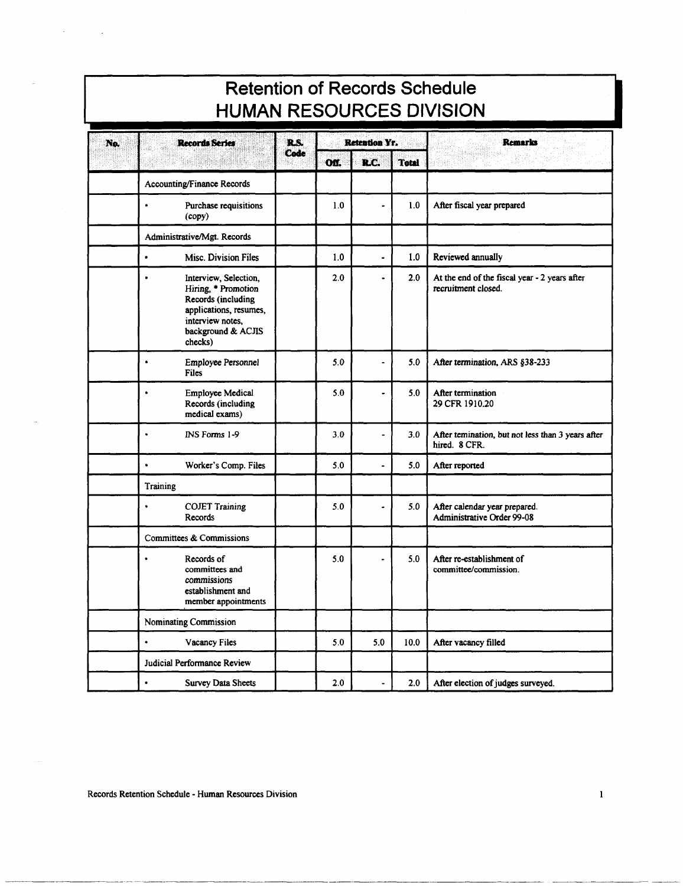#### **Retention of Records Schedule HUMAN RESOURCES DIVISION**

| No. | <b>Records Series</b>                                                                                                                                          | R.S. |      | <b>Retention Yr.</b> |              | <b>Remarks</b>                                                       |
|-----|----------------------------------------------------------------------------------------------------------------------------------------------------------------|------|------|----------------------|--------------|----------------------------------------------------------------------|
|     |                                                                                                                                                                | Code | Off. | R.C.                 | <b>Total</b> |                                                                      |
|     | <b>Accounting/Finance Records</b>                                                                                                                              |      |      |                      |              |                                                                      |
|     | $\bullet$<br>Purchase requisitions<br>(copy)                                                                                                                   |      | 1.0  |                      | 1.0          | After fiscal year prepared                                           |
|     | Administrative/Mgt. Records                                                                                                                                    |      |      |                      |              |                                                                      |
|     | $\bullet$<br>Misc. Division Files                                                                                                                              |      | 1.0  | $\overline{a}$       | 1.0          | Reviewed annually                                                    |
|     | Interview, Selection,<br>$\bullet$<br>Hiring, * Promotion<br>Records (including<br>applications, resumes,<br>interview notes.<br>background & ACJIS<br>checks) |      | 2.0  |                      | 2.0          | At the end of the fiscal year - 2 years after<br>recruitment closed. |
|     | Employee Personnel<br>$\bullet$<br><b>Files</b>                                                                                                                |      | 5.0  | $\overline{a}$       | 5.0          | After termination, ARS §38-233                                       |
|     | <b>Employee Medical</b><br>$\bullet$<br>Records (including<br>medical exams)                                                                                   |      | 5.0  | $\bullet$            | 5.0          | After termination<br>29 CFR 1910.20                                  |
|     | INS Forms 1-9<br>$\bullet$                                                                                                                                     |      | 3.0  | $\overline{a}$       | 3.0          | After temination, but not less than 3 years after<br>hired. 8 CFR.   |
|     | $\bullet$<br>Worker's Comp. Files                                                                                                                              |      | 5.0  | $\blacksquare$       | 5.0          | After reported                                                       |
|     | Training                                                                                                                                                       |      |      |                      |              |                                                                      |
|     | <b>COJET Training</b><br>$\bullet$<br>Records                                                                                                                  |      | 5.0  |                      | 5.0          | After calendar year prepared.<br><b>Administrative Order 99-08</b>   |
|     | Committees & Commissions                                                                                                                                       |      |      |                      |              |                                                                      |
|     | Records of<br>$\bullet$<br>committees and<br>commissions<br>establishment and<br>member appointments                                                           |      | 5.0  |                      | 5.0          | After re-establishment of<br>committee/commission.                   |
|     | Nominating Commission                                                                                                                                          |      |      |                      |              |                                                                      |
|     | $\bullet$<br><b>Vacancy Files</b>                                                                                                                              |      | 5.0  | 5.0                  | 10.0         | After vacancy filled                                                 |
|     | Judicial Performance Review                                                                                                                                    |      |      |                      |              |                                                                      |
|     | Survey Data Sheets<br>$\bullet$                                                                                                                                |      | 2.0  |                      | 2.0          | After election of judges surveyed.                                   |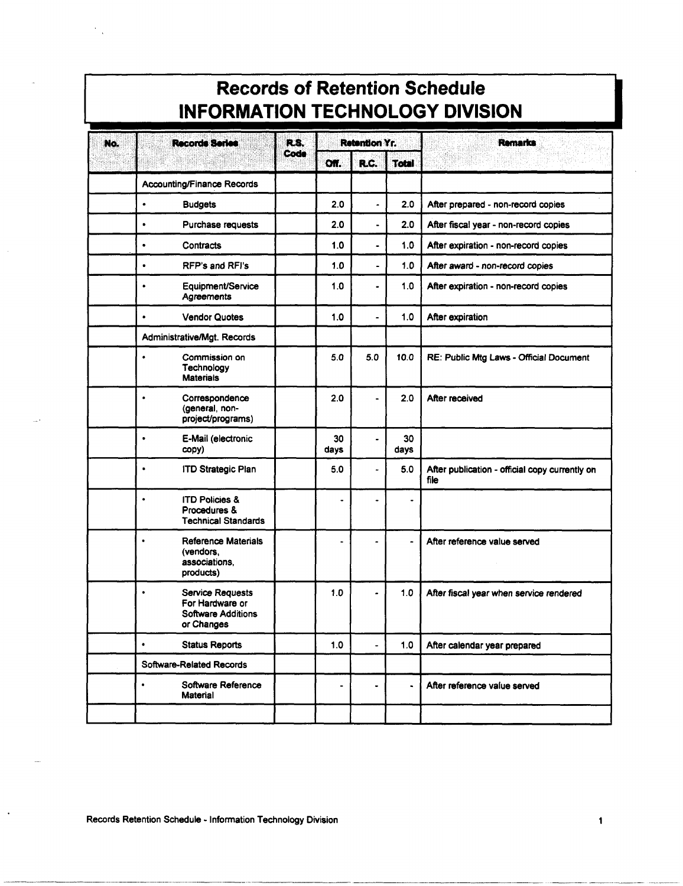| <b>Records of Retention Schedule</b><br><b>INFORMATION TECHNOLOGY DIVISION</b> |           |                                                                                       |      |                          |                      |              |                                                        |  |  |  |  |
|--------------------------------------------------------------------------------|-----------|---------------------------------------------------------------------------------------|------|--------------------------|----------------------|--------------|--------------------------------------------------------|--|--|--|--|
| No.                                                                            |           | Records Series                                                                        | R.S. |                          | <b>Retention Yr.</b> |              | <b>Remarks</b>                                         |  |  |  |  |
|                                                                                |           |                                                                                       | Code | Off.                     | R.C.                 | <b>Total</b> |                                                        |  |  |  |  |
|                                                                                |           | <b>Accounting/Finance Records</b>                                                     |      |                          |                      |              |                                                        |  |  |  |  |
|                                                                                | $\bullet$ | <b>Budgets</b>                                                                        |      | 2.0                      |                      | 2.0          | After prepared - non-record copies                     |  |  |  |  |
|                                                                                | $\bullet$ | Purchase requests                                                                     |      | 2.0                      |                      | 2.0          | After fiscal year - non-record copies                  |  |  |  |  |
|                                                                                | ٠         | Contracts                                                                             |      | 1.0                      | ٠                    | 1.0          | After expiration - non-record copies                   |  |  |  |  |
|                                                                                | $\bullet$ | <b>RFP's and RFI's</b>                                                                |      | 1.0                      | ۰                    | 1.0          | After award - non-record copies                        |  |  |  |  |
|                                                                                | $\bullet$ | Equipment/Service<br>Agreements                                                       |      | 1.0                      |                      | 1.0          | After expiration - non-record copies                   |  |  |  |  |
|                                                                                | $\bullet$ | <b>Vendor Quotes</b>                                                                  |      | 1.0                      |                      | 1.0          | After expiration                                       |  |  |  |  |
|                                                                                |           | Administrative/Mgt. Records                                                           |      |                          |                      |              |                                                        |  |  |  |  |
|                                                                                | ٠         | Commission on<br>Technology<br><b>Materials</b>                                       |      | 5.0                      | 5.0                  | 10.0         | RE: Public Mtg Laws - Official Document                |  |  |  |  |
|                                                                                | $\bullet$ | Correspondence<br>(general, non-<br>project/programs)                                 |      | 2.0                      |                      | 2.0          | After received                                         |  |  |  |  |
|                                                                                | $\bullet$ | E-Mail (electronic<br>copy)                                                           |      | 30<br>days               |                      | 30<br>days   |                                                        |  |  |  |  |
|                                                                                | $\bullet$ | <b>ITD Strategic Plan</b>                                                             |      | 5.0                      | ä,                   | 5.0          | After publication - official copy currently on<br>file |  |  |  |  |
|                                                                                | ٠         | <b>ITD Policies &amp;</b><br>Procedures &<br><b>Technical Standards</b>               |      | ٠                        |                      |              |                                                        |  |  |  |  |
|                                                                                | ٠         | Reference Materials<br>(vendors,<br>associations.<br>products)                        |      | ä,                       | ۰                    | -            | After reference value served                           |  |  |  |  |
|                                                                                | $\bullet$ | <b>Service Requests</b><br>For Hardware or<br><b>Software Additions</b><br>or Changes |      | 1.0                      |                      | 1.0          | After fiscal year when service rendered                |  |  |  |  |
|                                                                                | $\bullet$ | <b>Status Reports</b>                                                                 |      | 1.0                      |                      | 1.0          | After calendar year prepared                           |  |  |  |  |
|                                                                                |           | Software-Related Records                                                              |      |                          |                      |              |                                                        |  |  |  |  |
|                                                                                | ٠         | Software Reference<br><b>Material</b>                                                 |      | $\overline{\phantom{a}}$ |                      | ۰            | After reference value served                           |  |  |  |  |
|                                                                                |           |                                                                                       |      |                          |                      |              |                                                        |  |  |  |  |

#### Records Retention Schedule - Information Technology Division

 $\ddot{\phantom{0}}$ 

 $\mathbf{1}$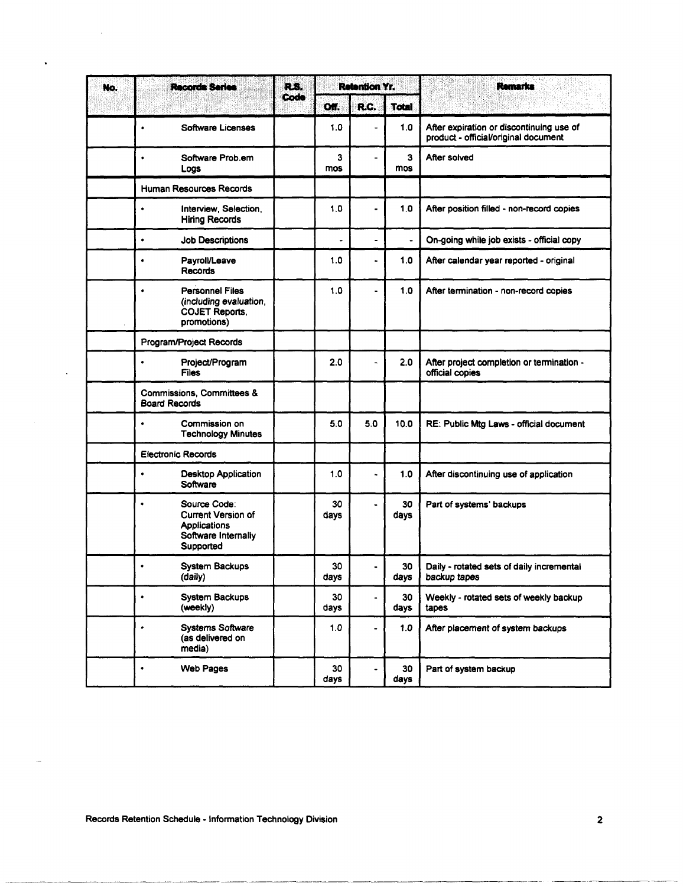| No. | <b>Records Series</b>                                                                              | RS.  |            | <b>Retention Yr.</b>         |                | Remarks                                                                          |
|-----|----------------------------------------------------------------------------------------------------|------|------------|------------------------------|----------------|----------------------------------------------------------------------------------|
|     |                                                                                                    | Code | Off.       | R.C.                         | <b>Total</b>   |                                                                                  |
|     | <b>Software Licenses</b><br>۰                                                                      |      | 1.0        | $\blacksquare$               | 1.0            | After expiration or discontinuing use of<br>product - official/original document |
|     | Software Prob.em<br>٠<br>Logs                                                                      |      | 3<br>mos   | ٠                            | з<br>mos       | After solved                                                                     |
|     | <b>Human Resources Records</b>                                                                     |      |            |                              |                |                                                                                  |
|     | Interview, Selection,<br>٠<br><b>Hiring Records</b>                                                |      | 1.0        |                              | 1.0            | After position filled - non-record copies                                        |
|     | $\bullet$<br><b>Job Descriptions</b>                                                               |      | ÷          | $\blacksquare$               | $\blacksquare$ | On-going while job exists - official copy                                        |
|     | <b>Payroll/Leave</b><br>٠<br><b>Records</b>                                                        |      | 1.0        |                              | 1.0            | After calendar year reported - original                                          |
|     | <b>Personnel Files</b><br>٠<br>(including evaluation,<br><b>COJET Reports,</b><br>promotions)      |      | 1.0        |                              | 1.0            | After termination - non-record copies                                            |
|     | Program/Project Records                                                                            |      |            |                              |                |                                                                                  |
|     | $\bullet$<br>Project/Program<br><b>Files</b>                                                       |      | 2.0        | $\blacksquare$               | 2.0            | After project completion or termination -<br>official copies                     |
|     | Commissions, Committees &<br><b>Board Records</b>                                                  |      |            |                              |                |                                                                                  |
|     | Commission on<br>٠<br><b>Technology Minutes</b>                                                    |      | 5.0        | 5.0                          | 10.0           | RE: Public Mtg Laws - official document                                          |
|     | <b>Electronic Records</b>                                                                          |      |            |                              |                |                                                                                  |
|     | <b>Desktop Application</b><br>٠<br>Software                                                        |      | 1.0        | ٠                            | 1.0            | After discontinuing use of application                                           |
|     | Source Code:<br>٠<br><b>Current Version of</b><br>Applications<br>Software Internally<br>Supported |      | 30<br>days | L.                           | 30<br>days     | Part of systems' backups                                                         |
|     | <b>System Backups</b><br>۰<br>(daily)                                                              |      | 30<br>days | $\blacksquare$               | 30<br>days     | Daily - rotated sets of daily incremental<br>backup tapes                        |
|     | System Backups<br>$\bullet$<br>(weekly)                                                            |      | 30<br>days | $\qquad \qquad \blacksquare$ | 30<br>days     | Weekly - rotated sets of weekly backup<br>tapes                                  |
|     | <b>Systems Software</b><br>٠<br>(as delivered on<br>media)                                         |      | 1.0        |                              | 1.0            | After placement of system backups                                                |
|     | <b>Web Pages</b><br>$\bullet$                                                                      |      | 30<br>days |                              | 30<br>days     | Part of system backup                                                            |

Records Retention Schedule - Information Technology Division

 $\bar{z}$ 

 $\bullet$